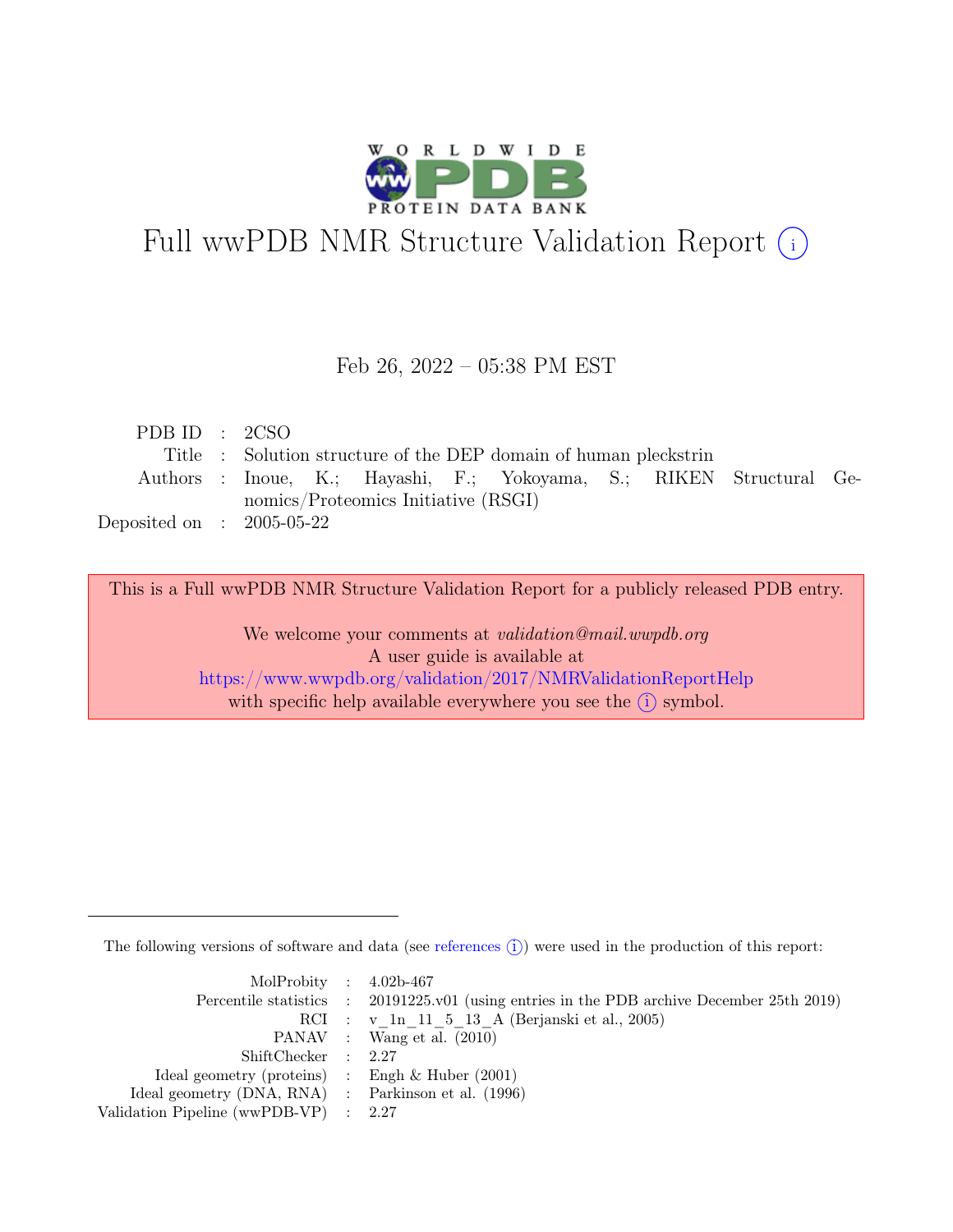

# Full wwPDB NMR Structure Validation Report (i)

#### Feb 26, 2022 – 05:38 PM EST

| PDB ID : $2CSO$             |  |                                     |                                                                      |  |  |
|-----------------------------|--|-------------------------------------|----------------------------------------------------------------------|--|--|
|                             |  |                                     | Title : Solution structure of the DEP domain of human pleckstrin     |  |  |
|                             |  |                                     | Authors : Inoue, K.; Hayashi, F.; Yokoyama, S.; RIKEN Structural Ge- |  |  |
|                             |  | nomics/Proteomics Initiative (RSGI) |                                                                      |  |  |
| Deposited on : $2005-05-22$ |  |                                     |                                                                      |  |  |

This is a Full wwPDB NMR Structure Validation Report for a publicly released PDB entry.

We welcome your comments at *validation@mail.wwpdb.org* A user guide is available at <https://www.wwpdb.org/validation/2017/NMRValidationReportHelp> with specific help available everywhere you see the  $(i)$  symbol.

The following versions of software and data (see [references](https://www.wwpdb.org/validation/2017/NMRValidationReportHelp#references)  $\hat{I}$ ) were used in the production of this report:

| MolProbity : $4.02b-467$                            |                                                                                            |
|-----------------------------------------------------|--------------------------------------------------------------------------------------------|
|                                                     | Percentile statistics : 20191225.v01 (using entries in the PDB archive December 25th 2019) |
|                                                     | RCI : v 1n 11 5 13 A (Berjanski et al., 2005)                                              |
|                                                     | PANAV : Wang et al. (2010)                                                                 |
| ShiftChecker : 2.27                                 |                                                                                            |
| Ideal geometry (proteins) : Engh $\&$ Huber (2001)  |                                                                                            |
| Ideal geometry (DNA, RNA) : Parkinson et al. (1996) |                                                                                            |
| Validation Pipeline (wwPDB-VP) : 2.27               |                                                                                            |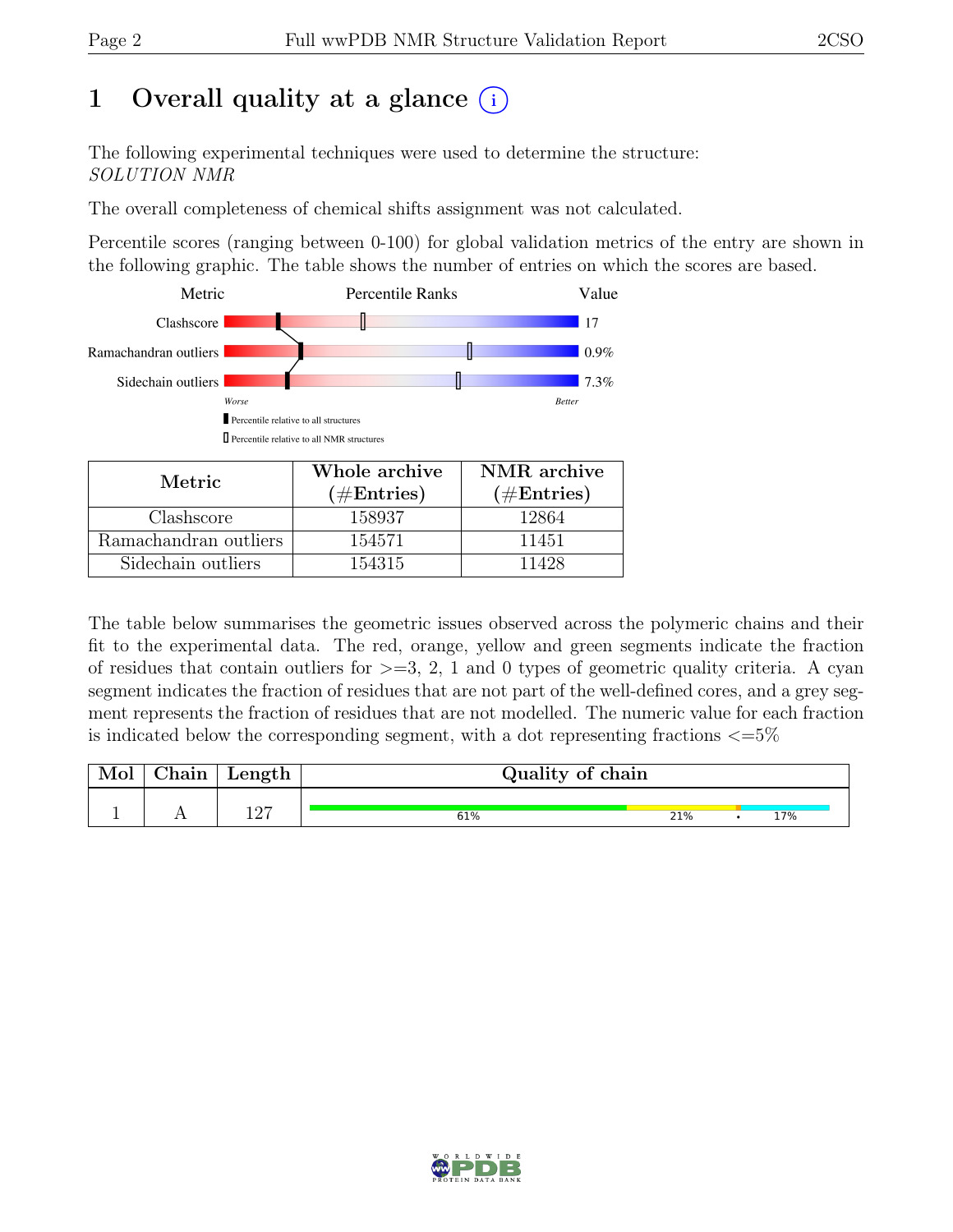# 1 Overall quality at a glance  $(i)$

The following experimental techniques were used to determine the structure: SOLUTION NMR

The overall completeness of chemical shifts assignment was not calculated.

Percentile scores (ranging between 0-100) for global validation metrics of the entry are shown in the following graphic. The table shows the number of entries on which the scores are based.



| Metric.               | Whole archive | NMR archive   |  |  |
|-----------------------|---------------|---------------|--|--|
|                       | $(\#Entries)$ | $(\#Entries)$ |  |  |
| Clashscore            | 158937        | 12864         |  |  |
| Ramachandran outliers | 154571        | 11451         |  |  |
| Sidechain outliers    | 154315        | 11428         |  |  |

The table below summarises the geometric issues observed across the polymeric chains and their fit to the experimental data. The red, orange, yellow and green segments indicate the fraction of residues that contain outliers for  $>=$  3, 2, 1 and 0 types of geometric quality criteria. A cyan segment indicates the fraction of residues that are not part of the well-defined cores, and a grey segment represents the fraction of residues that are not modelled. The numeric value for each fraction is indicated below the corresponding segment, with a dot representing fractions  $\langle=5\%$ 

| Mol | Chain | Length      | Quality of chain |     |  |  |     |  |
|-----|-------|-------------|------------------|-----|--|--|-----|--|
|     |       | າ ດາ<br>⊥∠⊣ | 61%              | 21% |  |  | 17% |  |

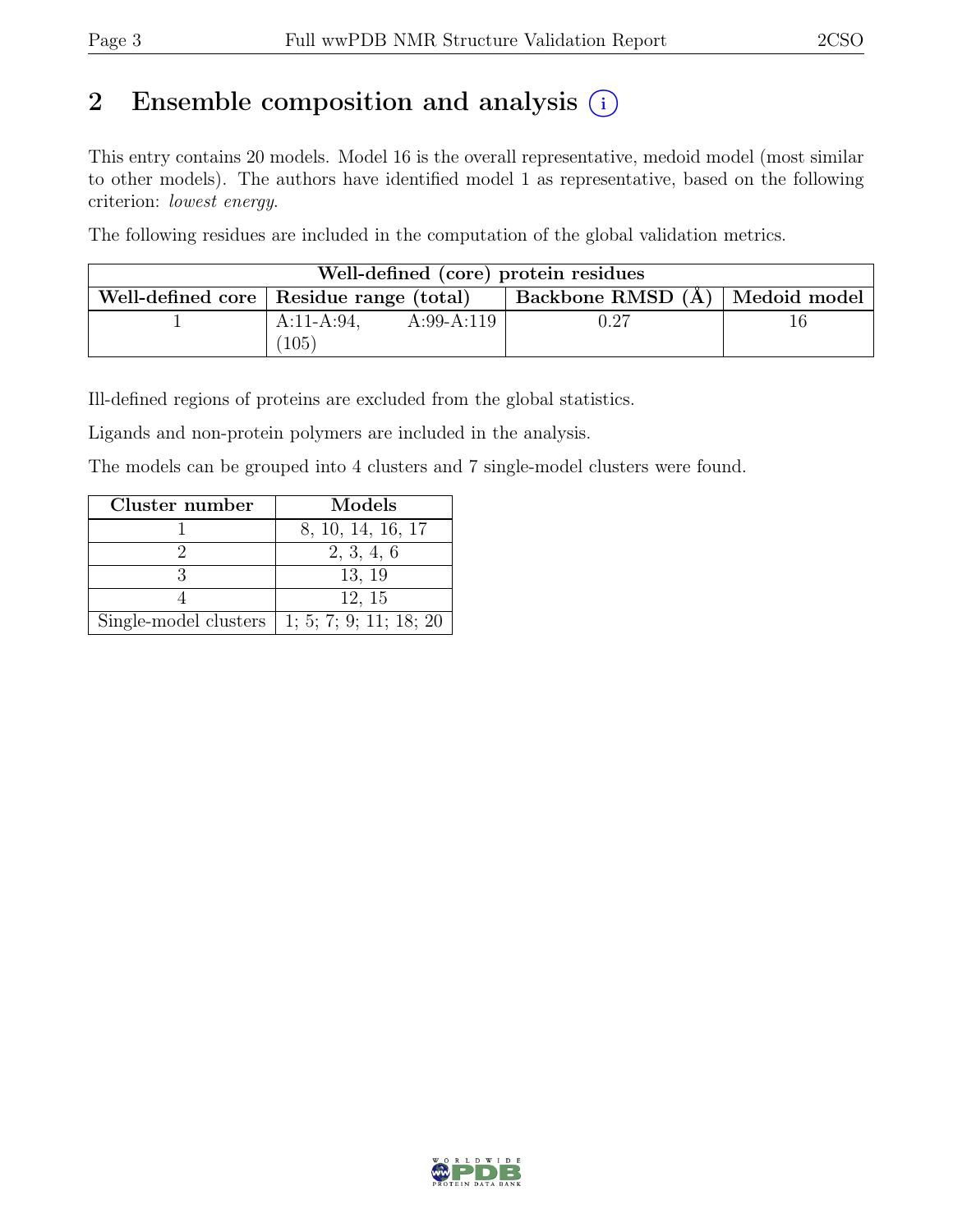# 2 Ensemble composition and analysis  $(i)$

This entry contains 20 models. Model 16 is the overall representative, medoid model (most similar to other models). The authors have identified model 1 as representative, based on the following criterion: lowest energy.

The following residues are included in the computation of the global validation metrics.

| Well-defined (core) protein residues |                                           |              |                                    |    |  |  |
|--------------------------------------|-------------------------------------------|--------------|------------------------------------|----|--|--|
|                                      | Well-defined core   Residue range (total) |              | Backbone RMSD $(A)$   Medoid model |    |  |  |
|                                      | $A:11-A:94$ ,                             | $A:99-A:119$ | $\rm 0.27$                         | Tb |  |  |
|                                      | $^{\prime}105$ ,                          |              |                                    |    |  |  |

Ill-defined regions of proteins are excluded from the global statistics.

Ligands and non-protein polymers are included in the analysis.

The models can be grouped into 4 clusters and 7 single-model clusters were found.

| Cluster number                                       | Models            |
|------------------------------------------------------|-------------------|
|                                                      | 8, 10, 14, 16, 17 |
|                                                      | 2, 3, 4, 6        |
|                                                      | 13, 19            |
|                                                      | 12, 15            |
| Single-model clusters $\vert$ 1; 5; 7; 9; 11; 18; 20 |                   |

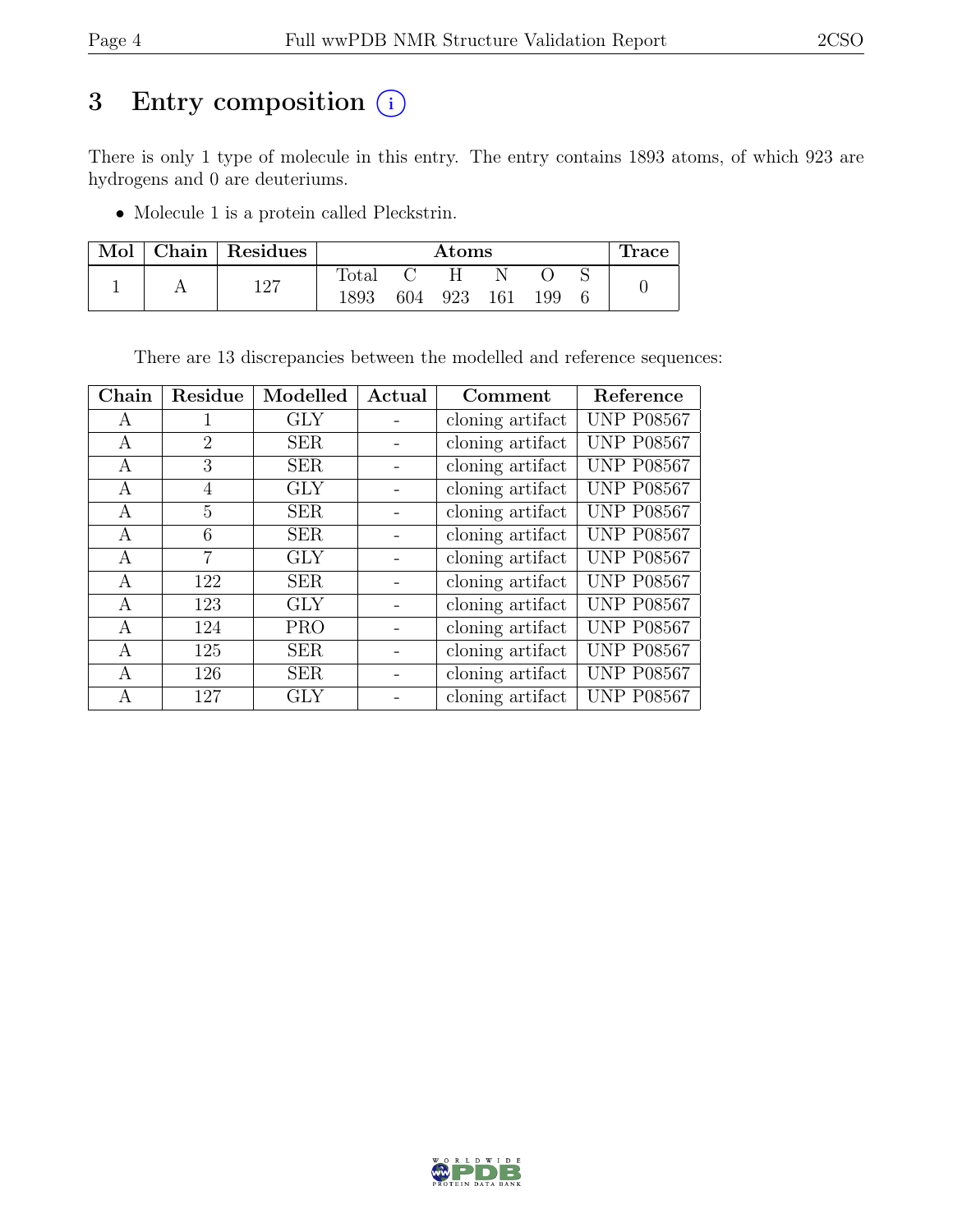## 3 Entry composition  $(i)$

There is only 1 type of molecule in this entry. The entry contains 1893 atoms, of which 923 are hydrogens and 0 are deuteriums.

• Molecule 1 is a protein called Pleckstrin.

| Mol | Chain   Residues |                | $\rm{Atoms}$ |     |     |     |  | <b>Trace</b> |
|-----|------------------|----------------|--------------|-----|-----|-----|--|--------------|
|     | າ ດາ             | $_{\rm Total}$ |              |     |     |     |  |              |
|     | <b>I</b> 4 .     | 1893           | 604          | 923 | 161 | 199 |  |              |

There are 13 discrepancies between the modelled and reference sequences:

| Chain | Residue        | Modelled   | Actual | Comment          | Reference         |
|-------|----------------|------------|--------|------------------|-------------------|
| A     | 1              | <b>GLY</b> |        | cloning artifact | <b>UNP P08567</b> |
| A     | $\overline{2}$ | <b>SER</b> |        | cloning artifact | <b>UNP P08567</b> |
| A     | 3              | <b>SER</b> |        | cloning artifact | <b>UNP P08567</b> |
| A     | 4              | <b>GLY</b> |        | cloning artifact | <b>UNP P08567</b> |
| А     | 5              | <b>SER</b> |        | cloning artifact | <b>UNP P08567</b> |
| A     | 6              | <b>SER</b> |        | cloning artifact | <b>UNP P08567</b> |
| A     | 7              | <b>GLY</b> |        | cloning artifact | <b>UNP P08567</b> |
| A     | 122            | <b>SER</b> |        | cloning artifact | <b>UNP P08567</b> |
| A     | 123            | <b>GLY</b> |        | cloning artifact | <b>UNP P08567</b> |
| A     | 124            | <b>PRO</b> |        | cloning artifact | <b>UNP P08567</b> |
| А     | 125            | <b>SER</b> |        | cloning artifact | <b>UNP P08567</b> |
| A     | 126            | <b>SER</b> |        | cloning artifact | <b>UNP P08567</b> |
| А     | 127            | GLY        |        | cloning artifact | <b>UNP P08567</b> |

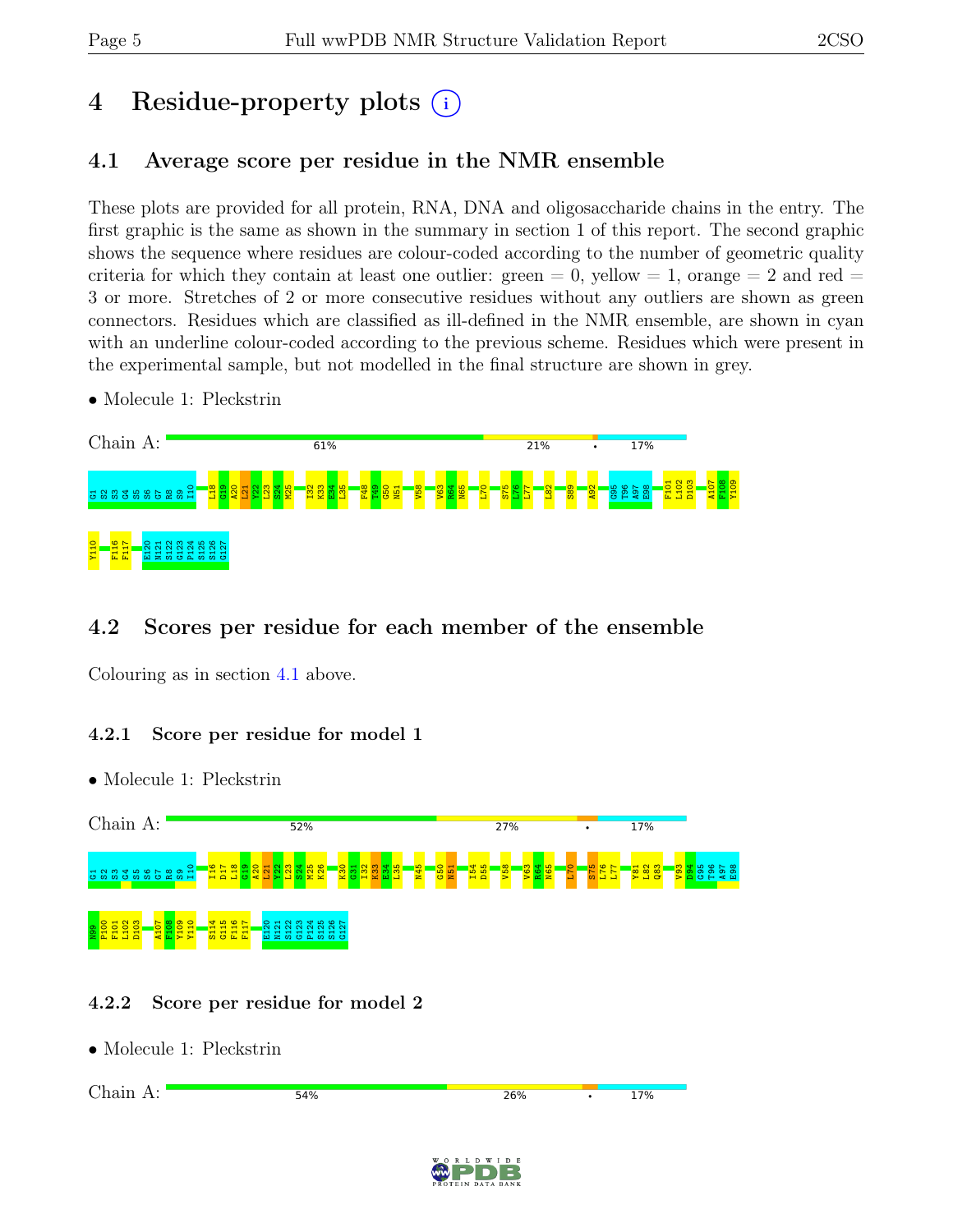# 4 Residue-property plots (i)

## <span id="page-4-0"></span>4.1 Average score per residue in the NMR ensemble

These plots are provided for all protein, RNA, DNA and oligosaccharide chains in the entry. The first graphic is the same as shown in the summary in section 1 of this report. The second graphic shows the sequence where residues are colour-coded according to the number of geometric quality criteria for which they contain at least one outlier:  $green = 0$ ,  $yellow = 1$ ,  $orange = 2$  and  $red =$ 3 or more. Stretches of 2 or more consecutive residues without any outliers are shown as green connectors. Residues which are classified as ill-defined in the NMR ensemble, are shown in cyan with an underline colour-coded according to the previous scheme. Residues which were present in the experimental sample, but not modelled in the final structure are shown in grey.

• Molecule 1: Pleckstrin



## 4.2 Scores per residue for each member of the ensemble

Colouring as in section [4.1](#page-4-0) above.

#### 4.2.1 Score per residue for model 1

Chain A:  $52%$ 27% **17%** I10 I16 D17  $\frac{8}{11}$  $\frac{1}{2}$  $\frac{20}{2}$  $\frac{1}{2}$  $\frac{22}{2}$  $\frac{23}{2}$  $\frac{3}{2}$ M25 K26  $\frac{80}{20}$  $\frac{51}{1}$  $\frac{2}{2}$  $\frac{3}{2}$  $\frac{24}{12}$  $\frac{135}{2}$ N45  $\frac{8}{3}$  $\frac{1}{2}$  $\frac{154}{2}$ D55  $\frac{8}{10}$  $\frac{3}{2}$  $\frac{4}{10}$ N65  $\frac{1}{2}$  $\frac{1}{3}$ L76  $\overline{\mathbf{z}}$ Y81  $\frac{2}{3}$  $\frac{3}{8}$  $\frac{8}{2}$ 84<br>91 G95 T96 A97  $\frac{8}{2}$ 5 SSS 5 SSS R8  $\mathbf{g}$ S114 P124 P100 F101  $L102$ D103 A107 F108 Y109 Y110 G115 F116 F117 E120 N121 S122 G123 S125 S126 G127  $\frac{8}{2}$ 

## 4.2.2 Score per residue for model 2

• Molecule 1: Pleckstrin



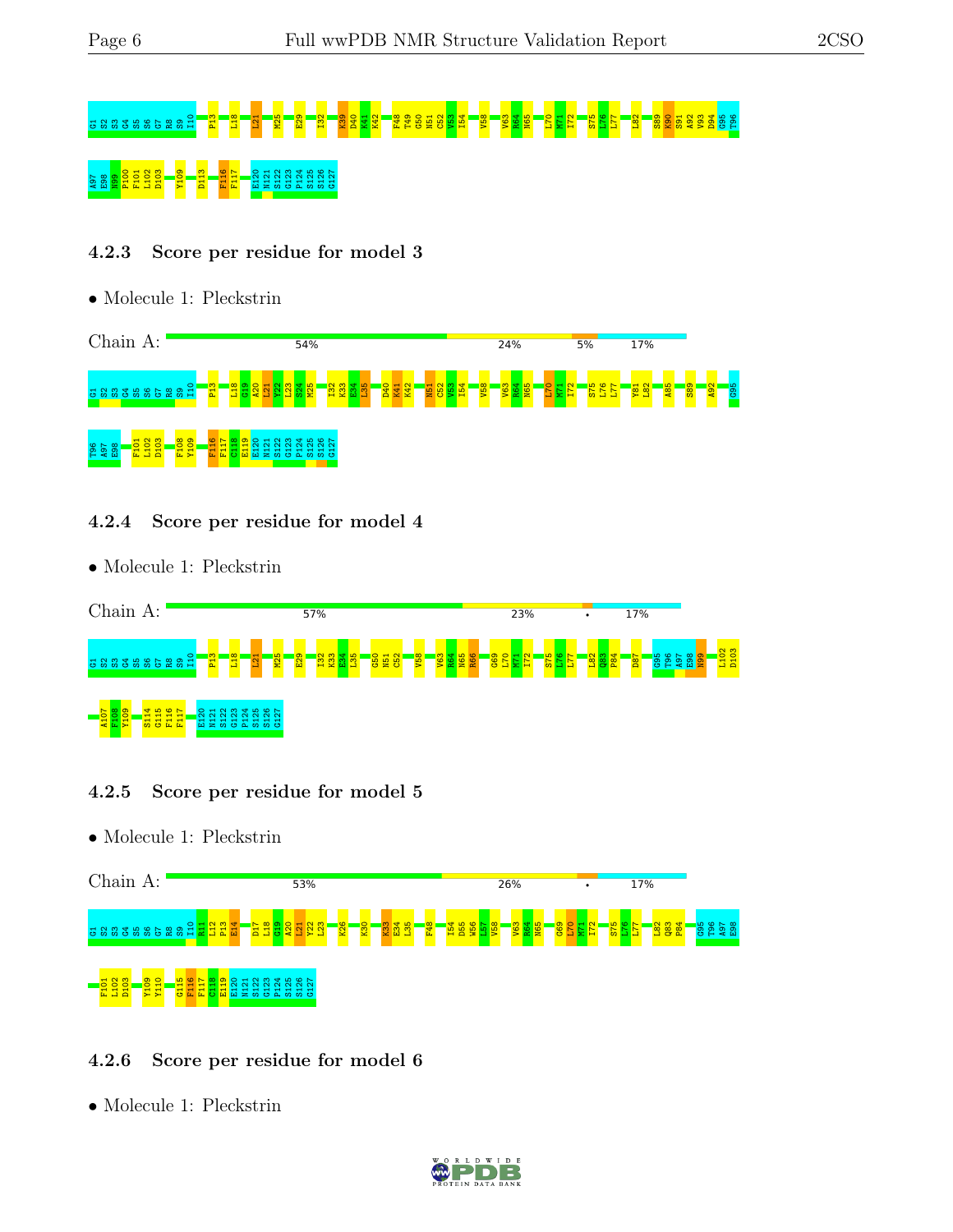# 5 S3G 5 S3G5 S2G T3 L31 L31 L31 L32 L32 T52 L32 K39 S91 S42 E40 L32 L77 L32 L77 L82 L77 L82 L77 L82 L77 L82 S A97 E98 N99 P100 F101 L102 D103 Y109 D113 F116 F117 E120 N121 S122 G123 P124 S125 S126 G127

#### 4.2.3 Score per residue for model 3

• Molecule 1: Pleckstrin



#### 4.2.4 Score per residue for model 4

• Molecule 1: Pleckstrin



#### 4.2.5 Score per residue for model 5

• Molecule 1: Pleckstrin



#### 4.2.6 Score per residue for model 6

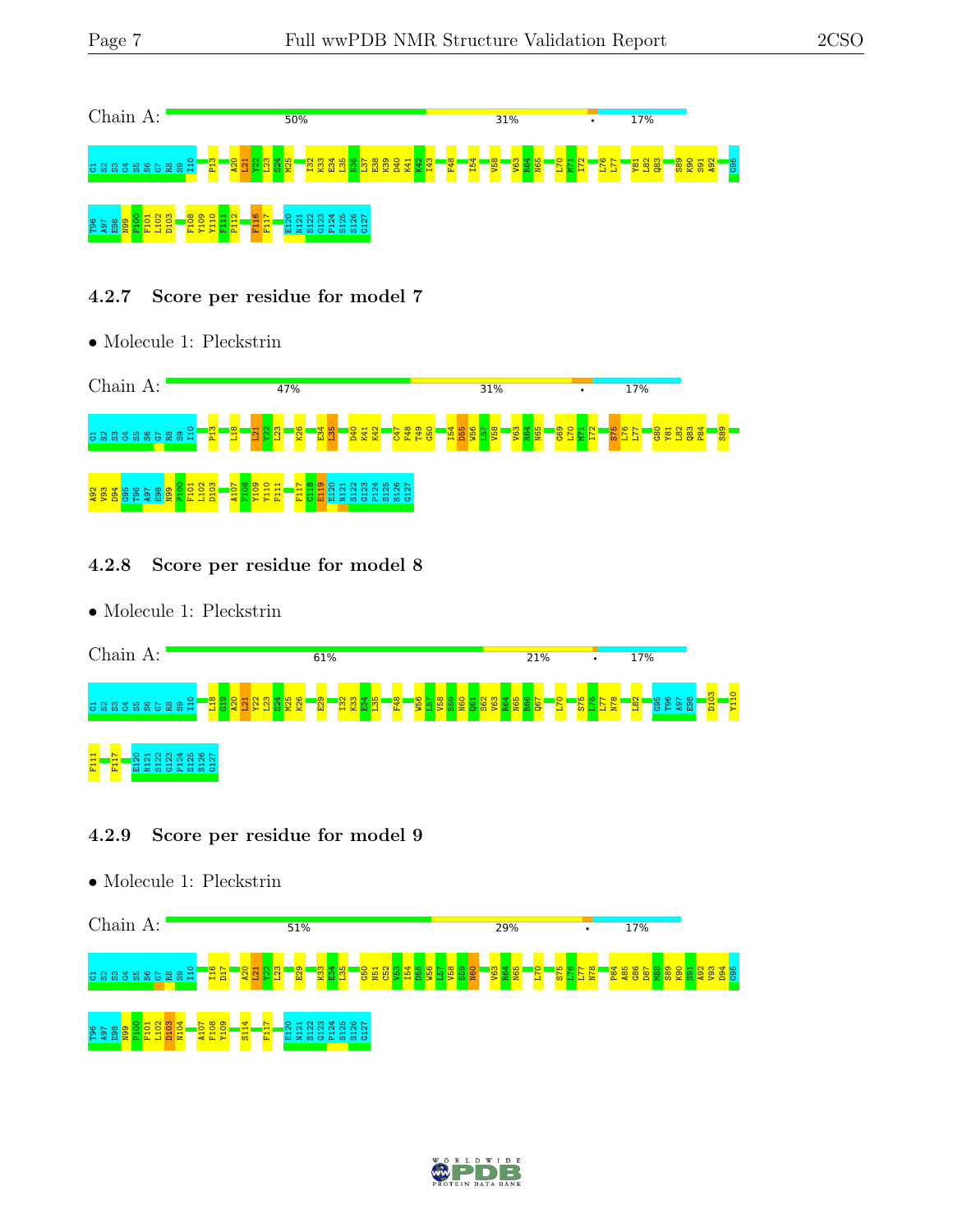

#### 4.2.7 Score per residue for model 7

• Molecule 1: Pleckstrin



#### 4.2.8 Score per residue for model 8

• Molecule 1: Pleckstrin



#### 4.2.9 Score per residue for model 9



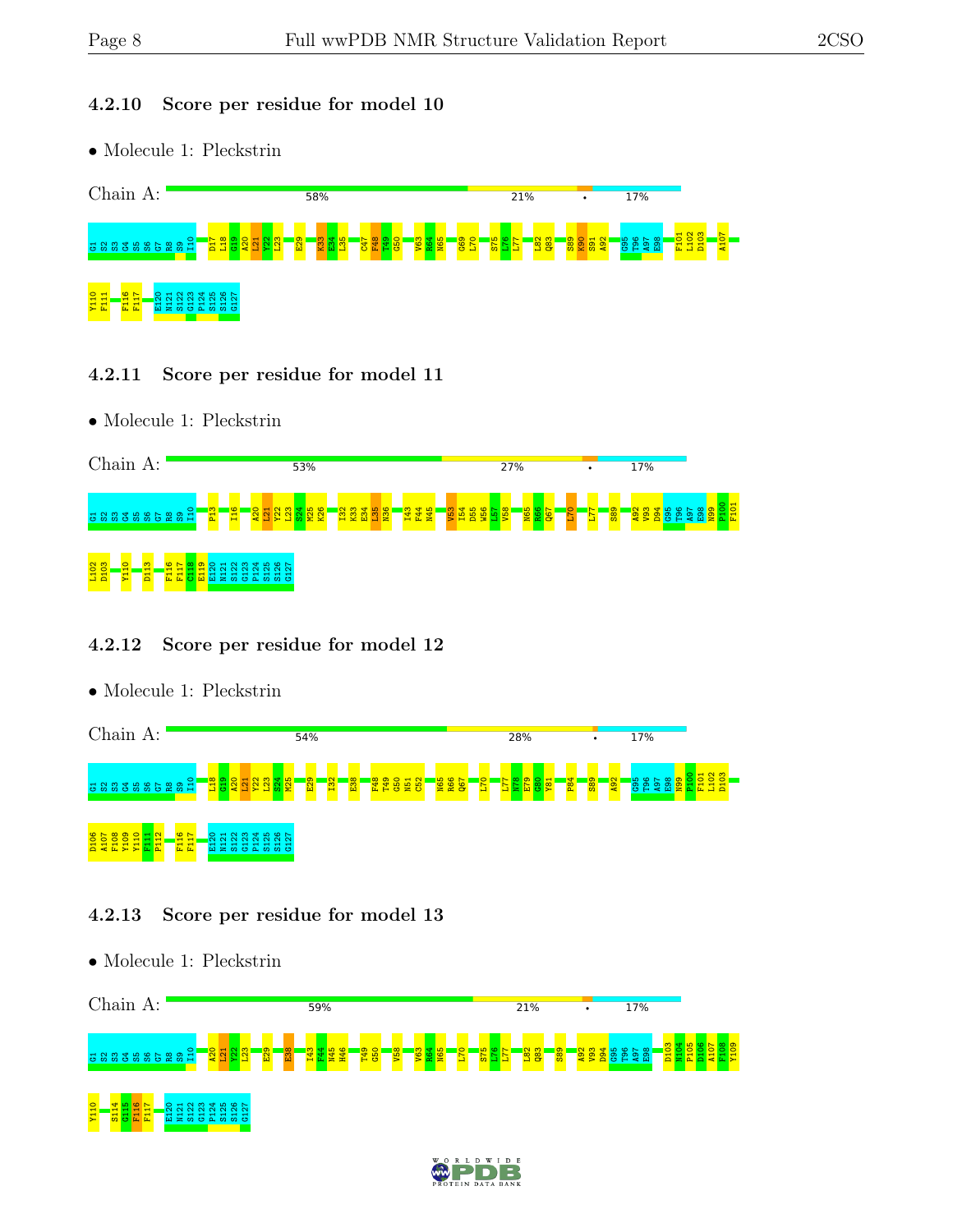Y109

#### 4.2.10 Score per residue for model 10

• Molecule 1: Pleckstrin



#### 4.2.11 Score per residue for model 11

• Molecule 1: Pleckstrin



#### 4.2.12 Score per residue for model 12

• Molecule 1: Pleckstrin

• Molecule 1: Pleckstrin



#### 4.2.13 Score per residue for model 13

Chain A: 59% 21% **17%** D103 N104 P105 D106 A107 F108 I10  $\frac{20}{4}$  $\frac{1}{2}$  $\frac{22}{2}$  $\frac{23}{1}$  $\frac{29}{2}$  $\frac{88}{2}$ I43  $F44$ N45 H46 T49  $\frac{60}{10}$  $\frac{1}{2}$  $\frac{1}{2}$  $\frac{1}{2}$ N65  $\frac{1}{2}$ S75  $\frac{18}{11}$  $\overline{\mathbf{z}}$  $\frac{182}{1}$  $\frac{28}{3}$  $\frac{89}{2}$  $\frac{92}{2}$  $\frac{93}{2}$ D94 ទី ខ្ញុំ ខ្ញុំ<br>ខេត្ត  $\frac{8}{2}$ 5 S S S S S S S S အ္က Y110 S114  $\frac{45}{2}$ F116 F117 E120 S122 G123 P124 S125 S126 G127N121

 $I$   $D$   $E$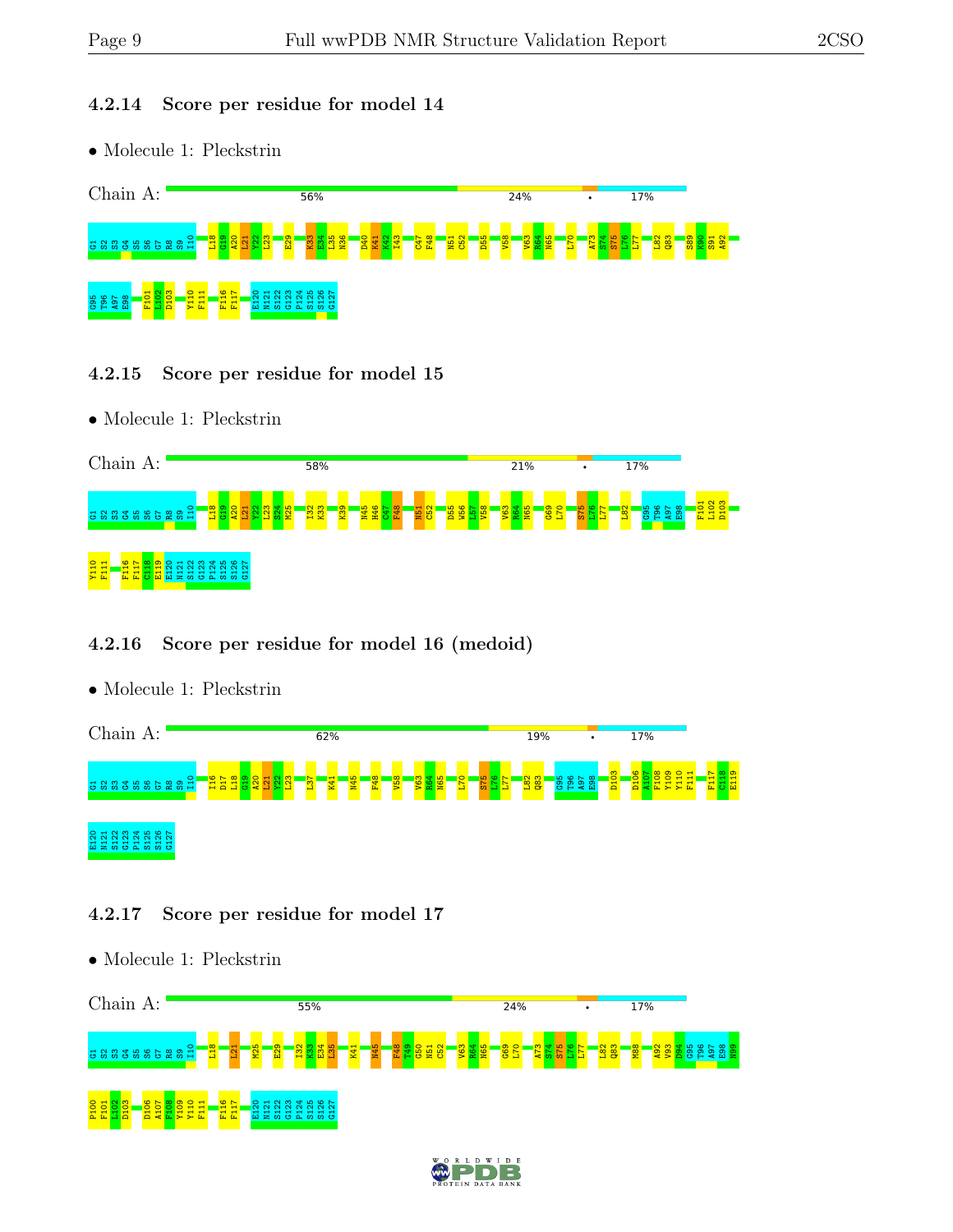#### 4.2.14 Score per residue for model 14

• Molecule 1: Pleckstrin



#### 4.2.15 Score per residue for model 15

• Molecule 1: Pleckstrin



#### 4.2.16 Score per residue for model 16 (medoid)

• Molecule 1: Pleckstrin



#### 4.2.17 Score per residue for model 17

- Chain A: 55% 24% 17% I10  $\frac{18}{1}$ M25  $\frac{29}{2}$  $\frac{32}{2}$  $\frac{33}{2}$  $\frac{84}{1}$  $\frac{135}{25}$ N45 F48  $\frac{1}{2}$  $\frac{6}{3}$  $\frac{52}{2}$  $\frac{1}{2}$  $\frac{1}{2}$ N65  $\frac{69}{5}$  $\frac{1}{2}$ A73  $\frac{8}{4}$ S75  $\frac{12}{11}$  $\overline{\mathbb{Z}}$  $\frac{182}{1}$  $\frac{1}{8}$  $\frac{88}{2}$  $\frac{92}{2}$  $\frac{8}{2}$ D94 G95 T96 A97  $\frac{8}{2}$  $\frac{8}{2}$  $\Xi$ K41 N51  $33585$ R8  $\mathbf{g}^-$ P100 F101  $\frac{102}{1}$ D103 D106 A107 F108 Y109 Y110 F111 F116 F117 E120 N121 S122 G123 P124 S125 S126 G127
- Molecule 1: Pleckstrin

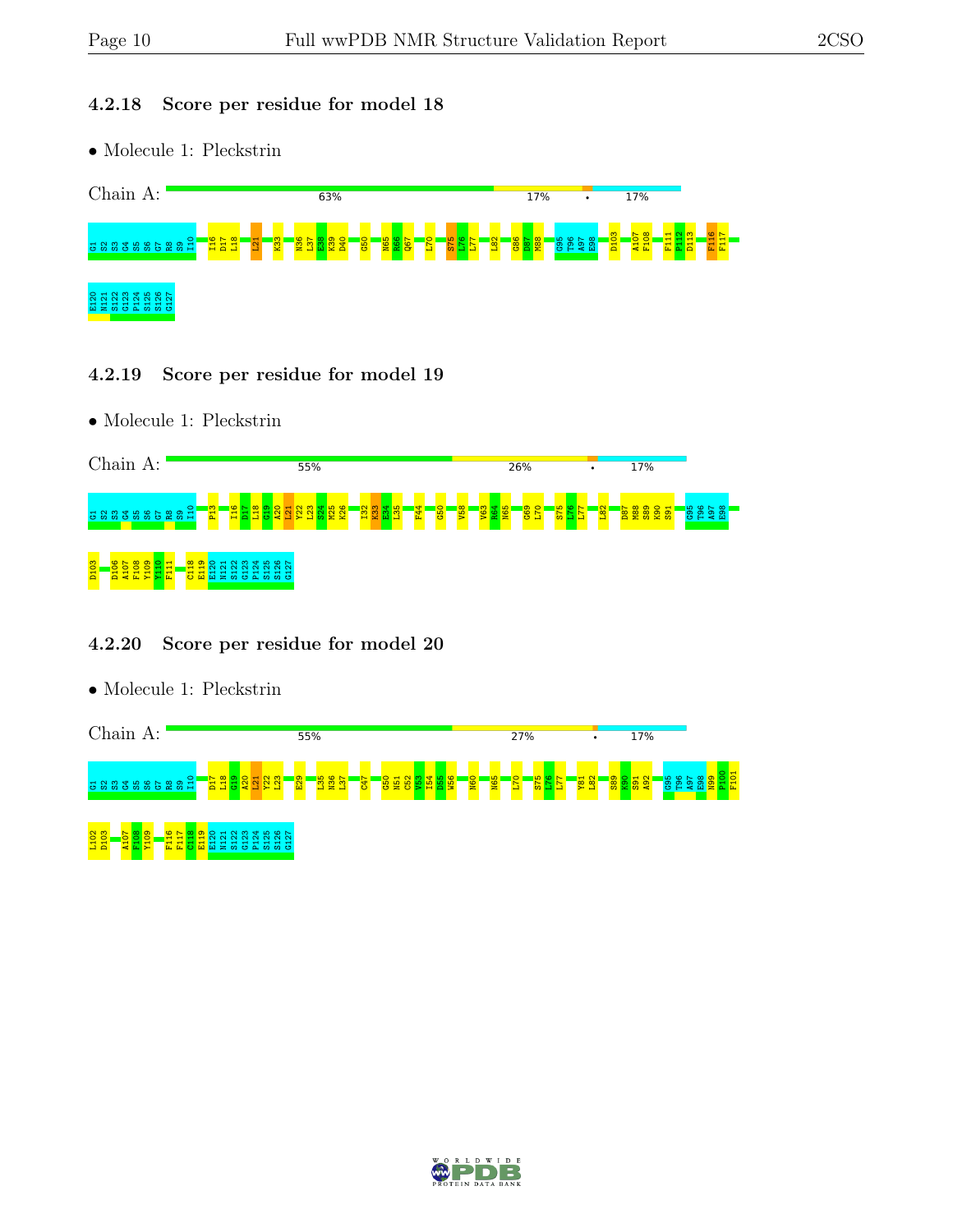#### 4.2.18 Score per residue for model 18

• Molecule 1: Pleckstrin



#### 4.2.19 Score per residue for model 19

• Molecule 1: Pleckstrin



#### 4.2.20 Score per residue for model 20



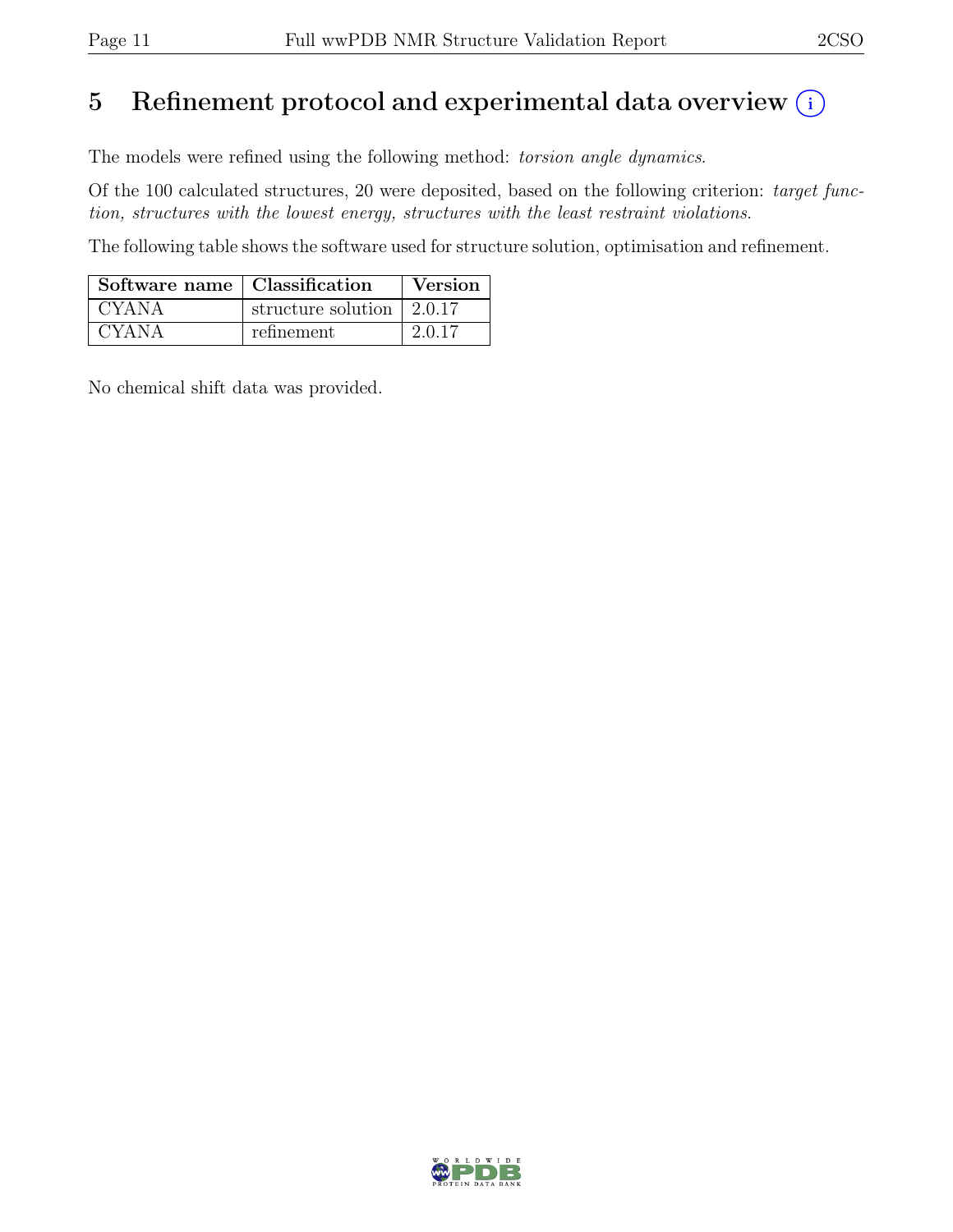# 5 Refinement protocol and experimental data overview  $(i)$

The models were refined using the following method: torsion angle dynamics.

Of the 100 calculated structures, 20 were deposited, based on the following criterion: target function, structures with the lowest energy, structures with the least restraint violations.

The following table shows the software used for structure solution, optimisation and refinement.

| Software name   Classification |                                         | Version |
|--------------------------------|-----------------------------------------|---------|
| <b>CYANA</b>                   | structure solution $\vert 2.0.17 \vert$ |         |
| <b>CYANA</b>                   | refinement                              | 2.0.17  |

No chemical shift data was provided.

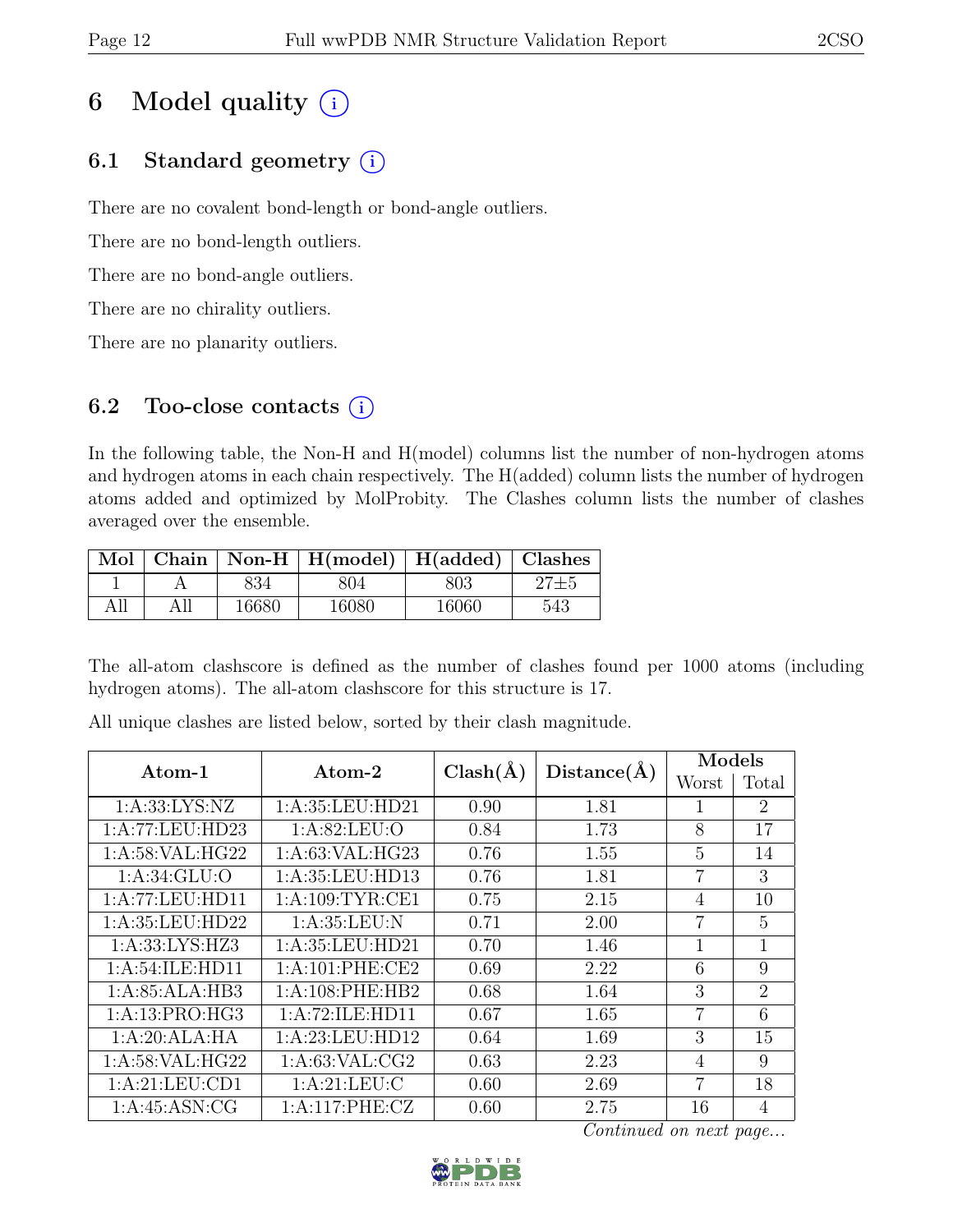# 6 Model quality  $(i)$

## 6.1 Standard geometry  $(i)$

There are no covalent bond-length or bond-angle outliers.

There are no bond-length outliers.

There are no bond-angle outliers.

There are no chirality outliers.

There are no planarity outliers.

### 6.2 Too-close contacts  $(i)$

In the following table, the Non-H and H(model) columns list the number of non-hydrogen atoms and hydrogen atoms in each chain respectively. The H(added) column lists the number of hydrogen atoms added and optimized by MolProbity. The Clashes column lists the number of clashes averaged over the ensemble.

|     |     |       | Mol   Chain   Non-H   H(model)   H(added)   Clashes |       |     |
|-----|-----|-------|-----------------------------------------------------|-------|-----|
|     |     | 834   | 804                                                 | 803   |     |
| All | All | 16680 | 16080                                               | 16060 | 543 |

The all-atom clashscore is defined as the number of clashes found per 1000 atoms (including hydrogen atoms). The all-atom clashscore for this structure is 17.

| $\rm{Atom}\textrm{-}1$ | Atom-2             | $Clash(\AA)$ | $Distance(\AA)$ | Models         |                |  |
|------------------------|--------------------|--------------|-----------------|----------------|----------------|--|
|                        |                    |              |                 | Worst          | Total          |  |
| 1: A: 33: LYS: NZ      | 1:A:35:LEU:HD21    | 0.90         | 1.81            | 1              | $\overline{2}$ |  |
| 1:A:77:LEU:HD23        | 1: A:82:LEU:O      | 0.84         | 1.73            | 8              | 17             |  |
| 1: A:58: VAL: HG22     | 1: A:63: VAL: HG23 | 0.76         | 1.55            | 5              | 14             |  |
| 1: A:34: GLU:O         | 1:A:35:LEU:HD13    | 0.76         | 1.81            | $\overline{7}$ | 3              |  |
| 1:A:77:LEU:HD11        | 1: A:109: TYR: CE1 | 0.75         | 2.15            | 4              | 10             |  |
| 1:A:35:LEU:HD22        | 1: A:35:LEU: N     | 0.71         | 2.00            | 7              | 5              |  |
| 1: A: 33: LYS: HZ3     | 1:A:35:LEU:HD21    | 0.70         | 1.46            | $\mathbf{1}$   | $\mathbf{1}$   |  |
| 1: A:54: ILE: HD11     | 1:A:101:PHE:CE2    | 0.69         | 2.22            | 6              | 9              |  |
| 1:A:85:ALA:HB3         | 1:A:108:PHE:HB2    | 0.68         | 1.64            | 3              | $\overline{2}$ |  |
| 1:A:13:PRO:HG3         | 1:A:72:ILE:HD11    | 0.67         | 1.65            | $\overline{7}$ | 6              |  |
| 1:A:20:ALA:HA          | 1:A:23:LEU:HD12    | 0.64         | 1.69            | 3              | 15             |  |
| 1:A:58:VAL:HG22        | 1: A:63: VAL:CG2   | 0.63         | 2.23            | $\overline{4}$ | 9              |  |
| 1:A:21:LEU:CD1         | 1: A:21:LEU:C      | 0.60         | 2.69            | $\overline{7}$ | 18             |  |
| 1: A:45: ASN: CG       | 1:A:117:PHE:CZ     | 0.60         | 2.75            | 16             | $\overline{4}$ |  |

All unique clashes are listed below, sorted by their clash magnitude.

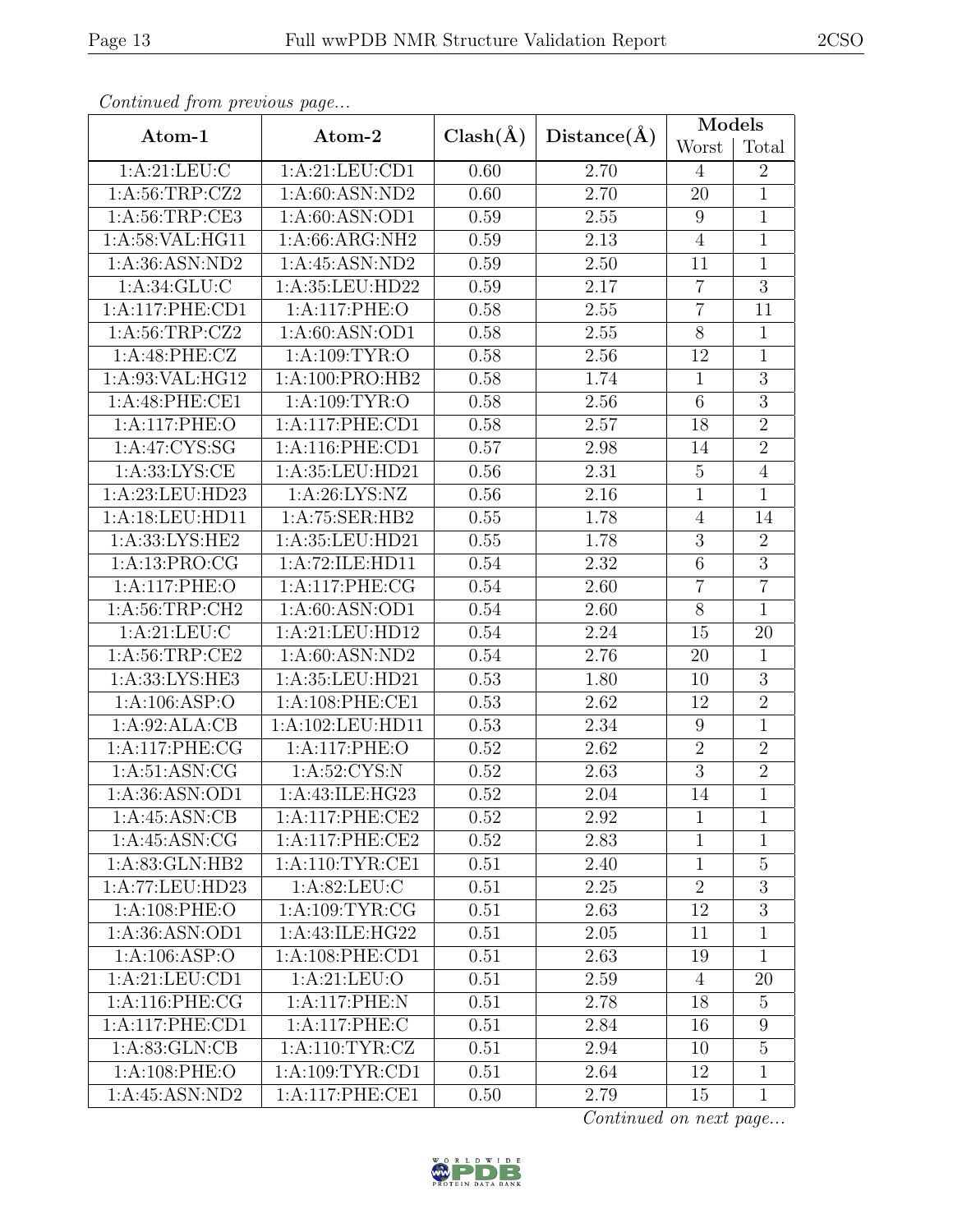| Continuea from previous page |                     |              |                   | <b>Models</b>  |                 |  |
|------------------------------|---------------------|--------------|-------------------|----------------|-----------------|--|
| Atom-1                       | Atom-2              | $Clash(\AA)$ | Distance(A)       | Worst          | Total           |  |
| 1: A:21: LEU: C              | 1:A:21:LEU:CD1      | 0.60         | 2.70              | $\overline{4}$ | $\overline{2}$  |  |
| 1:A:56:TRP:CZ2               | 1: A:60: ASN:ND2    | 0.60         | 2.70              | 20             | $\overline{1}$  |  |
| 1: A:56:TRP:CE3              | 1: A:60: ASN:OD1    | 0.59         | 2.55              | 9              | $\mathbf 1$     |  |
| 1:A:58:VAL:HG11              | 1:A:66:ARG:NH2      | 0.59         | 2.13              | $\overline{4}$ | $\overline{1}$  |  |
| 1: A:36: ASN:ND2             | 1:A:45:ASN:ND2      | 0.59         | 2.50              | 11             | $\mathbf{1}$    |  |
| 1: A:34: GLU: C              | 1:A:35:LEU:HD22     | 0.59         | 2.17              | $\overline{7}$ | $\overline{3}$  |  |
| 1:A:117:PHE:CD1              | 1:A:117:PHE:O       | 0.58         | 2.55              | $\overline{7}$ | 11              |  |
| 1: A:56:TRP: CZ2             | 1: A:60: ASN:OD1    | 0.58         | 2.55              | 8              | $\mathbf{1}$    |  |
| 1:A:48:PHE:CZ                | 1: A: 109: TYR: O   | 0.58         | 2.56              | 12             | $\mathbf{1}$    |  |
| 1:A:93:VAL:HG12              | 1:A:100:PRO:HB2     | 0.58         | 1.74              | $\mathbf{1}$   | $\mathfrak{Z}$  |  |
| 1:A:48:PHE:CE1               | 1: A: 109: TYR: O   | 0.58         | $2.56\,$          | $\overline{6}$ | $\overline{3}$  |  |
| 1:A:117:PHE:O                | 1:A:117:PHE:CD1     | 0.58         | 2.57              | 18             | $\overline{2}$  |  |
| 1: A:47: CYS:SG              | 1: A:116: PHE:CD1   | 0.57         | 2.98              | 14             | $\overline{2}$  |  |
| 1: A: 33: LYS: CE            | 1:A:35:LEU:HD21     | 0.56         | 2.31              | $\overline{5}$ | $\overline{4}$  |  |
| 1:A:23:LEU:HD23              | 1: A:26: LYS:NZ     | 0.56         | 2.16              | $\mathbf{1}$   | $\overline{1}$  |  |
| 1:A:18:LEU:HD11              | 1:A:75:SER:HB2      | 0.55         | 1.78              | $\overline{4}$ | 14              |  |
| 1:A:33:LYS:HE2               | 1:A:35:LEU:HD21     | 0.55         | 1.78              | $\overline{3}$ | $\overline{2}$  |  |
| 1:A:13:PRO:CG                | 1:A:72:ILE:HD11     | 0.54         | 2.32              | $\,6$          | $\overline{3}$  |  |
| 1:A:117:PHE:O                | 1:A:117:PHE:CG      | 0.54         | 2.60              | $\overline{7}$ | $\overline{7}$  |  |
| 1: A:56:TRP:CH2              | 1: A:60: ASN:OD1    | 0.54         | 2.60              | $8\,$          | $\mathbf{1}$    |  |
| 1: A:21: LEU: C              | 1:A:21:LEU:HD12     | 0.54         | 2.24              | 15             | $\overline{20}$ |  |
| 1:A:56:TRP:CE2               | 1: A:60: ASN:ND2    | 0.54         | 2.76              | 20             | $\mathbf{1}$    |  |
| 1:A:33:LYS:HE3               | 1:A:35:LEU:HD21     | 0.53         | 1.80              | 10             | $\overline{3}$  |  |
| 1: A:106: ASP:O              | 1: A:108: PHE:CE1   | 0.53         | 2.62              | 12             | $\overline{2}$  |  |
| 1:A:92:ALA:CB                | 1:A:102:LEU:HD11    | 0.53         | 2.34              | 9              | $\mathbf{1}$    |  |
| 1:A:117:PHE:CG               | 1:A:117:PHE:O       | 0.52         | 2.62              | $\overline{2}$ | $\overline{2}$  |  |
| 1:A:51:ASN:CG                | 1:A:52:CYS:N        | 0.52         | 2.63              | $\overline{3}$ | $\overline{2}$  |  |
| 1:A:36:ASN:OD1               | 1:A:43:ILE:HG23     | 0.52         | $\overline{2}.04$ | 14             | $\overline{1}$  |  |
| 1:A:45:ASN:CB                | 1:A:117:PHE:CE2     | 0.52         | 2.92              | $\mathbf{1}$   | 1               |  |
| 1: A:45: ASN: CG             | 1:A:117:PHE:CE2     | 0.52         | 2.83              | $\mathbf{1}$   | $\mathbf{1}$    |  |
| 1: A:83: GLN:HB2             | 1: A:110: TYR: CE1  | 0.51         | 2.40              | $\mathbf{1}$   | $\overline{5}$  |  |
| 1:A:77:LEU:HD23              | 1: A:82:LEU: C      | 0.51         | 2.25              | $\overline{2}$ | 3               |  |
| 1: A:108: PHE:O              | 1: A: 109: TYR: CG  | 0.51         | 2.63              | 12             | 3               |  |
| 1:A:36:ASN:OD1               | 1:A:43:ILE:HG22     | 0.51         | 2.05              | 11             | $\mathbf{1}$    |  |
| $1:A:106:AS\overline{P:O}$   | 1: A:108: PHE:CD1   | 0.51         | 2.63              | 19             | $\mathbf{1}$    |  |
| 1:A:21:LEU:CD1               | 1: A:21: LEU:O      | 0.51         | 2.59              | $\overline{4}$ | 20              |  |
| 1: A:116: PHE:CG             | 1:A:117:PHE:N       | 0.51         | 2.78              | 18             | $\overline{5}$  |  |
| 1:A:117:PHE:CD1              | 1:A:117:PHE:C       | 0.51         | 2.84              | 16             | $9\phantom{.}$  |  |
| 1: A:83: GLN:CB              | 1: A:110: TYR: CZ   | 0.51         | 2.94              | 10             | $\bf 5$         |  |
| 1: A:108: PHE:O              | 1: A: 109: TYR: CD1 | 0.51         | 2.64              | 12             | $\overline{1}$  |  |
| 1:A:45:ASN:ND2               | 1:A:117:PHE:CE1     | 0.50         | 2.79              | 15             | $\mathbf{1}$    |  |

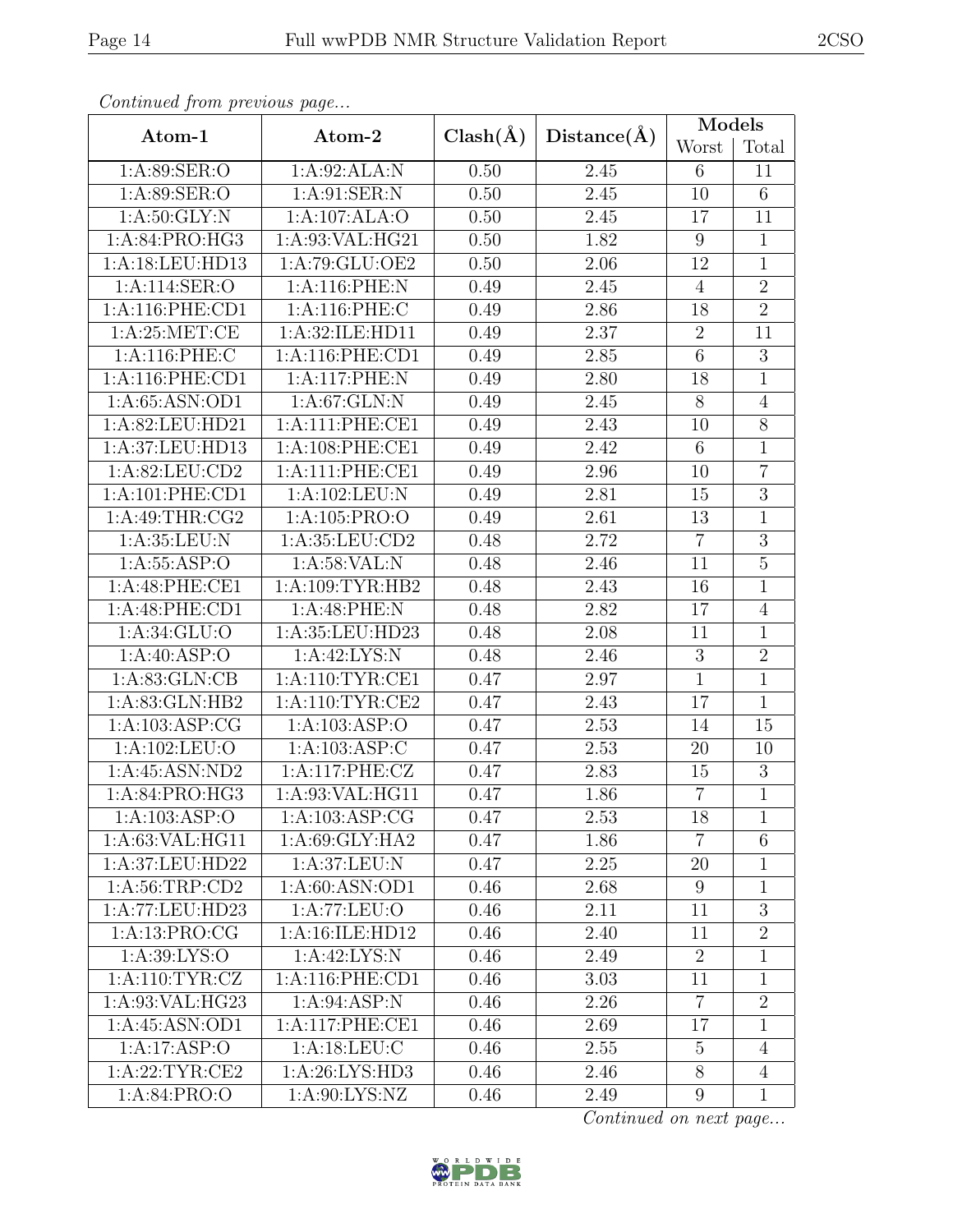| Continuea from previous page |                                  |              |             | <b>Models</b>   |                |
|------------------------------|----------------------------------|--------------|-------------|-----------------|----------------|
| Atom-1                       | Atom-2                           | $Clash(\AA)$ | Distance(A) | Worst           | Total          |
| 1: A:89: SER:O               | 1:A:92:ALA:N                     | 0.50         | 2.45        | $6\phantom{.}6$ | 11             |
| 1:A:89:SER:O                 | 1: A:91: SER: N                  | 0.50         | 2.45        | 10              | $\overline{6}$ |
| 1: A:50: GLY:N               | 1:A:107:ALA:O                    | 0.50         | 2.45        | 17              | 11             |
| 1:A:84:PRO:HG3               | 1:A:93:VAL:HG21                  | 0.50         | 1.82        | 9               | $\mathbf{1}$   |
| 1:A:18:LEU:HD13              | 1:A:79:GLU:OE2                   | 0.50         | 2.06        | 12              | $\mathbf{1}$   |
| 1:A:114:SER:O                | 1:A:116:PHE:N                    | 0.49         | 2.45        | $\overline{4}$  | $\overline{2}$ |
| 1: A:116: PHE:CD1            | 1:A:116:PHE:C                    | 0.49         | 2.86        | 18              | $\overline{2}$ |
| 1: A:25: MET:CE              | 1:A:32:ILE:HD11                  | 0.49         | 2.37        | $\overline{2}$  | 11             |
| 1:A:116:PHE:C                | 1: A:116: PHE:CD1                | 0.49         | $2.85\,$    | $\overline{6}$  | $\overline{3}$ |
| 1:A:116:PHE:CD1              | 1:A:117:PHE:N                    | 0.49         | 2.80        | 18              | $\mathbf{1}$   |
| 1:A:65:ASN:OD1               | 1: A:67: GLN:N                   | 0.49         | 2.45        | 8               | $\overline{4}$ |
| 1:A:82:LEU:HD21              | 1:A:111:PHE:CE1                  | 0.49         | 2.43        | 10              | 8              |
| 1:A:37:LEU:HD13              | 1:A:108:PHE:CE1                  | 0.49         | 2.42        | 6               | $\mathbf{1}$   |
| 1:A:82:LEU:CD2               | 1:A:111:PHE:CE1                  | 0.49         | 2.96        | 10              | $\overline{7}$ |
| 1: A:101: PHE:CD1            | 1:A:102:LEU:N                    | 0.49         | 2.81        | 15              | $\overline{3}$ |
| 1: A:49:THR:CG2              | 1:A:105:PRO:O                    | 0.49         | 2.61        | 13              | $\overline{1}$ |
| 1: A:35:LEU: N               | 1:A:35:LEU:CD2                   | 0.48         | 2.72        | $\overline{7}$  | 3              |
| 1: A: 55: ASP: O             | 1:A:58:VAL:N                     | 0.48         | 2.46        | 11              | $\overline{5}$ |
| 1:A:48:PHE:CE1               | 1:A:109:TYR:HB2                  | 0.48         | 2.43        | 16              | $\overline{1}$ |
| 1:A:48:PHE:CD1               | 1:A:48:PHE:N                     | 0.48         | 2.82        | 17              | $\overline{4}$ |
| 1: A:34: GLU:O               | 1:A:35:LEU:HD23                  | 0.48         | 2.08        | 11              | $\mathbf{1}$   |
| 1: A:40: ASP:O               | $1:A:42:\overline{\text{LYS:N}}$ | 0.48         | 2.46        | $\sqrt{3}$      | $\overline{2}$ |
| 1: A:83: GLN: CB             | 1:A:110:TYR:CE1                  | 0.47         | 2.97        | $\overline{1}$  | $\mathbf{1}$   |
| 1:A:83:GLN:HB2               | 1: A:110: TYR: CE2               | 0.47         | 2.43        | 17              | $\overline{1}$ |
| 1: A: 103: ASP: CG           | 1: A: 103: ASP: O                | 0.47         | 2.53        | 14              | 15             |
| 1:A:102:LEU:O                | 1:A:103:ASP:C                    | 0.47         | 2.53        | 20              | 10             |
| 1:A:45:ASN:ND2               | 1:A:117:PHE:CZ                   | 0.47         | 2.83        | 15              | 3              |
| 1:A:84:PRO:HG3               | $1:A:93:\overline{VAL:HG11}$     | 0.47         | 1.86        | $\overline{7}$  | $\mathbf{1}$   |
| 1: A: 103: ASP: O            | 1: A: 103: ASP: CG               | 0.47         | 2.53        | 18              | $\mathbf{1}$   |
| 1: A:63: VAL: HG11           | 1: A:69: GLY: HA2                | 0.47         | 1.86        | $\overline{7}$  | $\,6$          |
| 1:A:37:LEU:HD22              | 1: A:37: LEU: N                  | 0.47         | 2.25        | 20              | 1              |
| 1: A:56:TRP:CD2              | 1: A:60: ASN:OD1                 | 0.46         | 2.68        | 9               | $\mathbf{1}$   |
| 1:A:77:LEU:HD23              | 1:A:77:LEU:O                     | 0.46         | 2.11        | 11              | $\overline{3}$ |
| 1:A:13:PRO:CG                | 1:A:16:ILE:HD12                  | 0.46         | 2.40        | 11              | $\overline{2}$ |
| 1: A:39: LYS:O               | 1: A:42:LYS:N                    | 0.46         | 2.49        | $\overline{2}$  | $\overline{1}$ |
| 1: A:110: TYR: CZ            | 1: A:116: PHE:CD1                | 0.46         | 3.03        | 11              | $\mathbf{1}$   |
| 1:A:93:VAL:HG23              | 1: A:94: ASP: N                  | 0.46         | 2.26        | $\overline{7}$  | $\overline{2}$ |
| 1:A:45:ASN:OD1               | 1:A:117:PHE:CE1                  | 0.46         | 2.69        | 17              | $\mathbf{1}$   |
| 1:A:17:ASP:O                 | 1: A:18:LEU: C                   | 0.46         | 2.55        | $\overline{5}$  | $\overline{4}$ |
| 1:A:22:TYR:CE2               | 1: A:26: LYS:HD3                 | 0.46         | 2.46        | $\overline{8}$  | $\overline{4}$ |
| 1:A:84:PRO:O                 | 1: A:90: LYS: NZ                 | 0.46         | 2.49        | $9\phantom{.0}$ | $\mathbf{1}$   |

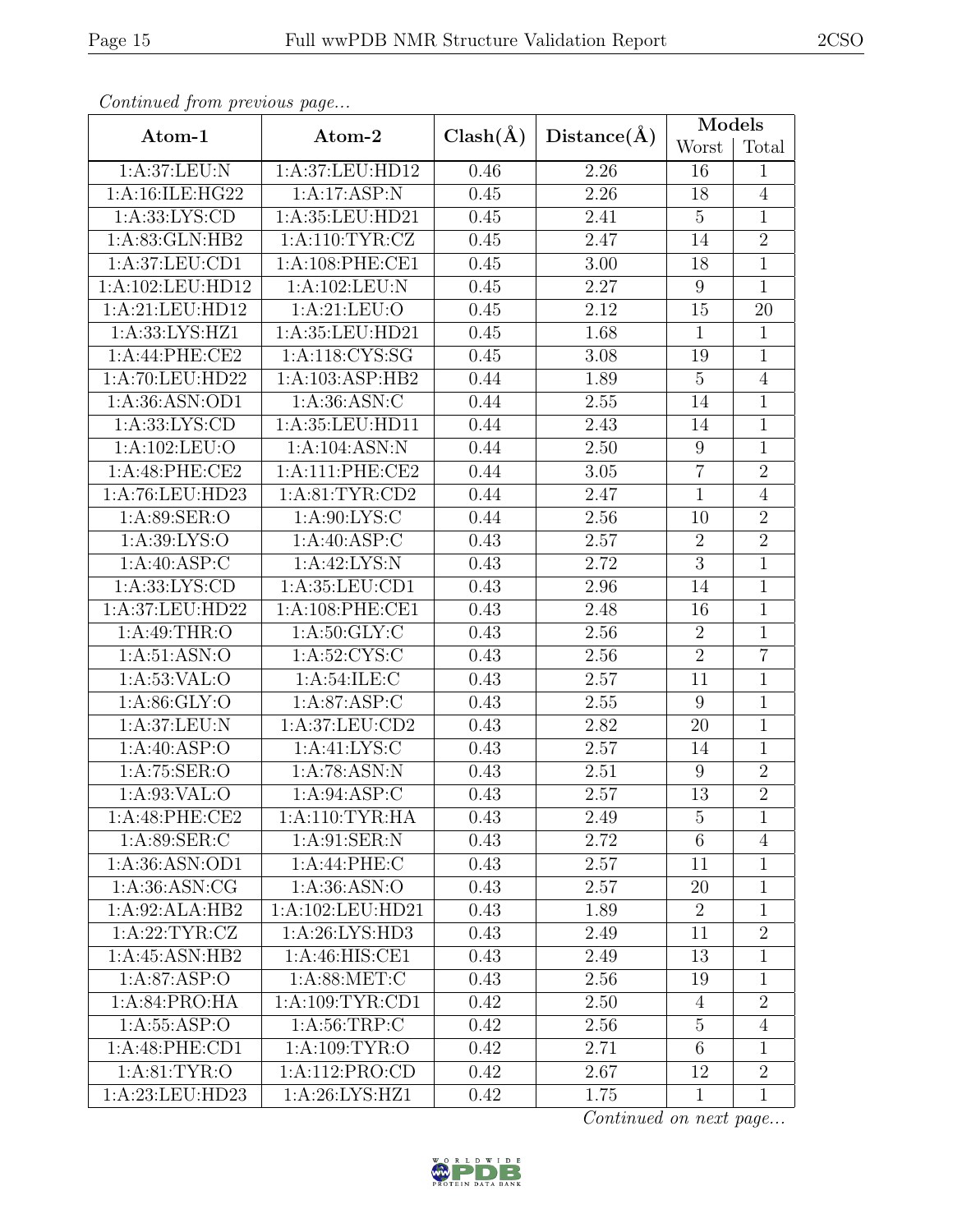| Continuea from previous page |                    |                   |                   | Models           |                |
|------------------------------|--------------------|-------------------|-------------------|------------------|----------------|
| Atom-1                       | Atom-2             | $Clash(\AA)$      | Distance(A)       | Worst            | Total          |
| 1: A:37: LEU: N              | 1:A:37:LEU:HD12    | 0.46              | 2.26              | 16               | $\mathbf{1}$   |
| 1:A:16:ILE:HG22              | 1:A:17:ASP:N       | 0.45              | 2.26              | 18               | $\overline{4}$ |
| 1: A: 33: LYS: CD            | 1:A:35:LEU:HD21    | 0.45              | 2.41              | $\mathbf 5$      | $\mathbf{1}$   |
| 1: A:83: GLN:HB2             | 1: A:110: TYR: CZ  | 0.45              | 2.47              | 14               | $\overline{2}$ |
| 1:A:37:LEU:CD1               | 1:A:108:PHE:CE1    | 0.45              | $3.00\,$          | 18               | $\mathbf 1$    |
| 1:A:102:LEU:HD12             | 1: A: 102: LEU: N  | $\overline{0.45}$ | $\overline{2.27}$ | $\boldsymbol{9}$ | $\mathbf{1}$   |
| 1:A:21:LEU:HD12              | 1:A:21:LEU:O       | 0.45              | 2.12              | 15               | 20             |
| 1:A:33:LYS:HZ1               | 1: A:35:LEU:HD21   | 0.45              | 1.68              | $\mathbf{1}$     | $\mathbf{1}$   |
| 1:A:44:PHE:CE2               | 1:A:118:CYS:SG     | 0.45              | 3.08              | 19               | $\mathbf{1}$   |
| 1:A:70:LEU:HD22              | 1:A:103:ASP:HB2    | 0.44              | 1.89              | $\overline{5}$   | $\overline{4}$ |
| 1:A:36:ASN:OD1               | 1:A:36:ASN:C       | 0.44              | 2.55              | 14               | $\overline{1}$ |
| 1: A: 33: LYS: CD            | 1:A:35:LEU:HD11    | 0.44              | 2.43              | 14               | $\mathbf 1$    |
| 1: A: 102: LEU: O            | 1:A:104:ASN:N      | 0.44              | 2.50              | 9                | $\mathbf 1$    |
| 1:A:48:PHE:CE2               | 1:A:111:PHE:CE2    | 0.44              | $3.05\,$          | $\overline{7}$   | $\overline{2}$ |
| 1:A:76:LEU:HD23              | 1: A:81: TYR:CD2   | 0.44              | 2.47              | $\mathbf{1}$     | $\overline{4}$ |
| 1:A:89:SER:O                 | 1: A:90: LYS: C    | 0.44              | 2.56              | 10               | $\overline{2}$ |
| 1: A:39: LYS:O               | 1:A:40:ASP:C       | 0.43              | 2.57              | $\overline{2}$   | $\overline{2}$ |
| 1: A:40: ASP:C               | 1:A:42:LYS:N       | 0.43              | 2.72              | $\overline{3}$   | $\mathbf{1}$   |
| 1: A: 33: LYS: CD            | 1:A:35:LEU:CD1     | 0.43              | 2.96              | 14               | $\mathbf{1}$   |
| 1:A:37:LEU:HD22              | 1:A:108:PHE:CE1    | 0.43              | 2.48              | 16               | $\overline{1}$ |
| 1: A:49:THR:O                | 1: A:50: GLY: C    | 0.43              | 2.56              | $\overline{2}$   | $\overline{1}$ |
| 1: A:51: ASN:O               | 1:A:52:CYS:C       | 0.43              | 2.56              | $\overline{2}$   | $\overline{7}$ |
| 1: A:53: VAL:O               | 1: A:54: ILE:C     | 0.43              | 2.57              | 11               | $\overline{1}$ |
| 1: A:86: GLY:O               | 1: A:87: ASP:C     | 0.43              | 2.55              | $\boldsymbol{9}$ | $\overline{1}$ |
| 1:A:37:LEU:N                 | 1:A:37:LEU:CD2     | 0.43              | 2.82              | 20               | $\mathbf{1}$   |
| 1:A:40:ASP:O                 | 1: A:41:LYS:C      | 0.43              | 2.57              | 14               | $\mathbf{1}$   |
| 1:A:75:SER:O                 | 1:A:78:ASN:N       | 0.43              | 2.51              | 9                | $\overline{2}$ |
| 1:A:93:VAL:O                 | 1:A:94:ASP:C       | 0.43              | 2.57              | 13               | $\overline{2}$ |
| 1:A:48:PHE:CE2               | 1:A:110:TYR:HA     | 0.43              | 2.49              | $\overline{5}$   | 1              |
| 1: A:89: SER: C              | 1: A:91: SER: N    | 0.43              | 2.72              | $\,6\,$          | $\overline{4}$ |
| 1:A:36:ASN:OD1               | 1: A:44: PHE: C    | 0.43              | 2.57              | 11               | $\mathbf{1}$   |
| 1: A:36: ASN: CG             | 1: A:36: ASN:O     | 0.43              | 2.57              | 20               | 1              |
| 1:A:92:ALA:HB2               | 1:A:102:LEU:HD21   | 0.43              | 1.89              | $\overline{2}$   | 1              |
| 1:A:22:TYR:CZ                | 1: A:26: LYS:HD3   | 0.43              | 2.49              | 11               | $\overline{2}$ |
| 1:A:45:ASN:HB2               | 1: A:46: HIS: CE1  | 0.43              | 2.49              | 13               | 1              |
| 1: A:87:ASP:O                | 1: A:88: MET:C     | 0.43              | 2.56              | 19               | 1              |
| 1: A:84: PRO:HA              | 1: A:109: TYR: CD1 | 0.42              | 2.50              | 4                | $\overline{2}$ |
| 1: A: 55: ASP:O              | 1: A:56:TRP:C      | 0.42              | 2.56              | $\overline{5}$   | $\overline{4}$ |
| 1:A:48:PHE:CD1               | 1: A: 109: TYR: O  | 0.42              | 2.71              | $6\,$            | $\mathbf{1}$   |
| 1: A:81:TYR:O                | 1:A:112:PRO:CD     | 0.42              | 2.67              | 12               | $\overline{2}$ |
| 1:A:23:LEU:HD23              | 1:A:26:LYS:HZ1     | 0.42              | 1.75              | $\mathbf{1}$     | $\mathbf 1$    |

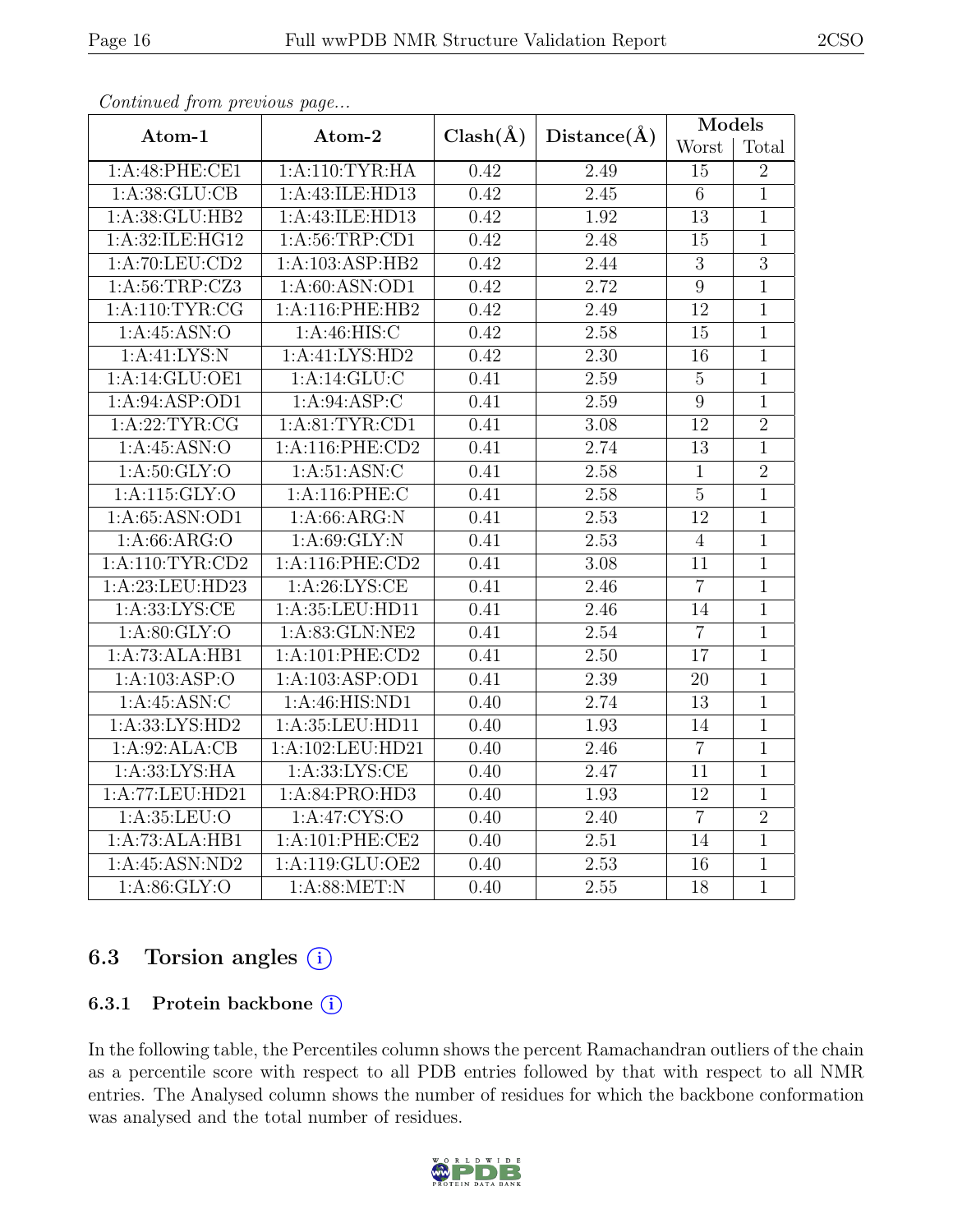| Atom-1                    | Atom-2            | $Clash(\AA)$ | Distance(A) | Models          |                |
|---------------------------|-------------------|--------------|-------------|-----------------|----------------|
|                           |                   |              |             | Worst           | Total          |
| 1:A:48:PHE:CE1            | 1: A:110: TYR: HA | 0.42         | 2.49        | 15              | $\overline{2}$ |
| 1: A:38: GLU:CB           | 1:A:43:ILE:HD13   | 0.42         | 2.45        | $6\phantom{.}6$ | $\overline{1}$ |
| 1:A:38:GLU:HB2            | 1:A:43:ILE:HD13   | 0.42         | 1.92        | 13              | $\mathbf{1}$   |
| 1:A:32:ILE:HG12           | 1: A:56:TRP:CD1   | 0.42         | 2.48        | 15              | $\mathbf{1}$   |
| 1:A:70:LEU:CD2            | 1:A:103:ASP:HB2   | 0.42         | 2.44        | $\sqrt{3}$      | $\overline{3}$ |
| 1: A:56:TRP: CZ3          | 1: A:60: ASN:OD1  | 0.42         | 2.72        | $\overline{9}$  | $\overline{1}$ |
| 1: A:110: TYR: CG         | 1:A:116:PHE:HB2   | 0.42         | 2.49        | 12              | $\mathbf{1}$   |
| 1:A:45:ASN:O              | 1:A:46:HIS:C      | 0.42         | 2.58        | 15              | $\mathbf{1}$   |
| 1:A:41:LYS:N              | 1:A:41:LYS:HD2    | 0.42         | 2.30        | 16              | $\overline{1}$ |
| 1:A:14:GLU:OE1            | 1:A:14:GLU:C      | 0.41         | 2.59        | $\overline{5}$  | $\mathbf{1}$   |
| 1:A:94:ASP:OD1            | 1: A:94: ASP:C    | 0.41         | 2.59        | $\overline{9}$  | $\mathbf{1}$   |
| 1: A:22:TYR:CG            | 1: A:81: TYR: CD1 | 0.41         | 3.08        | 12              | $\overline{2}$ |
| 1:A:45:ASN:O              | 1:A:116:PHE:CD2   | 0.41         | 2.74        | 13              | $\mathbf{1}$   |
| 1: A:50: GLY:O            | 1: A:51: ASN: C   | 0.41         | 2.58        | $\mathbf{1}$    | $\overline{2}$ |
| $1:$ A:115:GLY:O          | 1:A:116:PHE:C     | 0.41         | 2.58        | $\mathbf 5$     | $\mathbf{1}$   |
| 1: A:65: ASN:OD1          | 1: A:66: ARG:N    | 0.41         | 2.53        | $\overline{12}$ | $\overline{1}$ |
| $1:A:66:A\overline{RG:O}$ | 1: A:69: GLY:N    | 0.41         | 2.53        | $\overline{4}$  | $\mathbf{1}$   |
| $1:$ A:110:TYR:CD2        | 1: A:116: PHE:CD2 | 0.41         | 3.08        | $\overline{11}$ | $\overline{1}$ |
| 1:A:23:LEU:HD23           | 1: A:26: LYS:CE   | 0.41         | 2.46        | $\overline{7}$  | $\mathbf{1}$   |
| 1: A: 33: LYS: CE         | 1:A:35:LEU:HD11   | 0.41         | 2.46        | 14              | $\mathbf{1}$   |
| 1: A:80: GLY:O            | 1: A:83: GLN:NE2  | 0.41         | 2.54        | $\overline{7}$  | $\mathbf{1}$   |
| 1:A:73:ALA:HB1            | 1:A:101:PHE:CD2   | 0.41         | 2.50        | 17              | $\overline{1}$ |
| 1:A:103:ASP:O             | 1:A:103:ASP:OD1   | 0.41         | 2.39        | 20              | $\mathbf{1}$   |
| 1:A:45:ASN:C              | 1:A:46:HIS:ND1    | 0.40         | 2.74        | 13              | $\mathbf{1}$   |
| 1:A:33:LYS:HD2            | 1:A:35:LEU:HD11   | 0.40         | 1.93        | 14              | $\mathbf{1}$   |
| 1:A:92:ALA:CB             | 1:A:102:LEU:HD21  | 0.40         | 2.46        | $\overline{7}$  | $\overline{1}$ |
| 1: A:33: LYS: HA          | 1: A: 33: LYS: CE | 0.40         | 2.47        | 11              | $\mathbf{1}$   |
| 1:A:77:LEU:HD21           | 1: A:84: PRO:HD3  | 0.40         | 1.93        | $\overline{12}$ | $\overline{1}$ |
| 1: A:35:LEU:O             | 1: A:47: CYS:O    | 0.40         | 2.40        | $\overline{7}$  | $\overline{2}$ |
| 1:A:73:ALA:HB1            | 1:A:101:PHE:CE2   | 0.40         | 2.51        | 14              | $\overline{1}$ |
| 1:A:45:ASN:ND2            | 1:A:119:GLU:OE2   | 0.40         | 2.53        | 16              | 1              |
| 1: A:86: GLY:O            | 1:A:88:MET:N      | 0.40         | 2.55        | 18              | $\mathbf{1}$   |

#### 6.3 Torsion angles (i)

#### 6.3.1 Protein backbone (i)

In the following table, the Percentiles column shows the percent Ramachandran outliers of the chain as a percentile score with respect to all PDB entries followed by that with respect to all NMR entries. The Analysed column shows the number of residues for which the backbone conformation was analysed and the total number of residues.

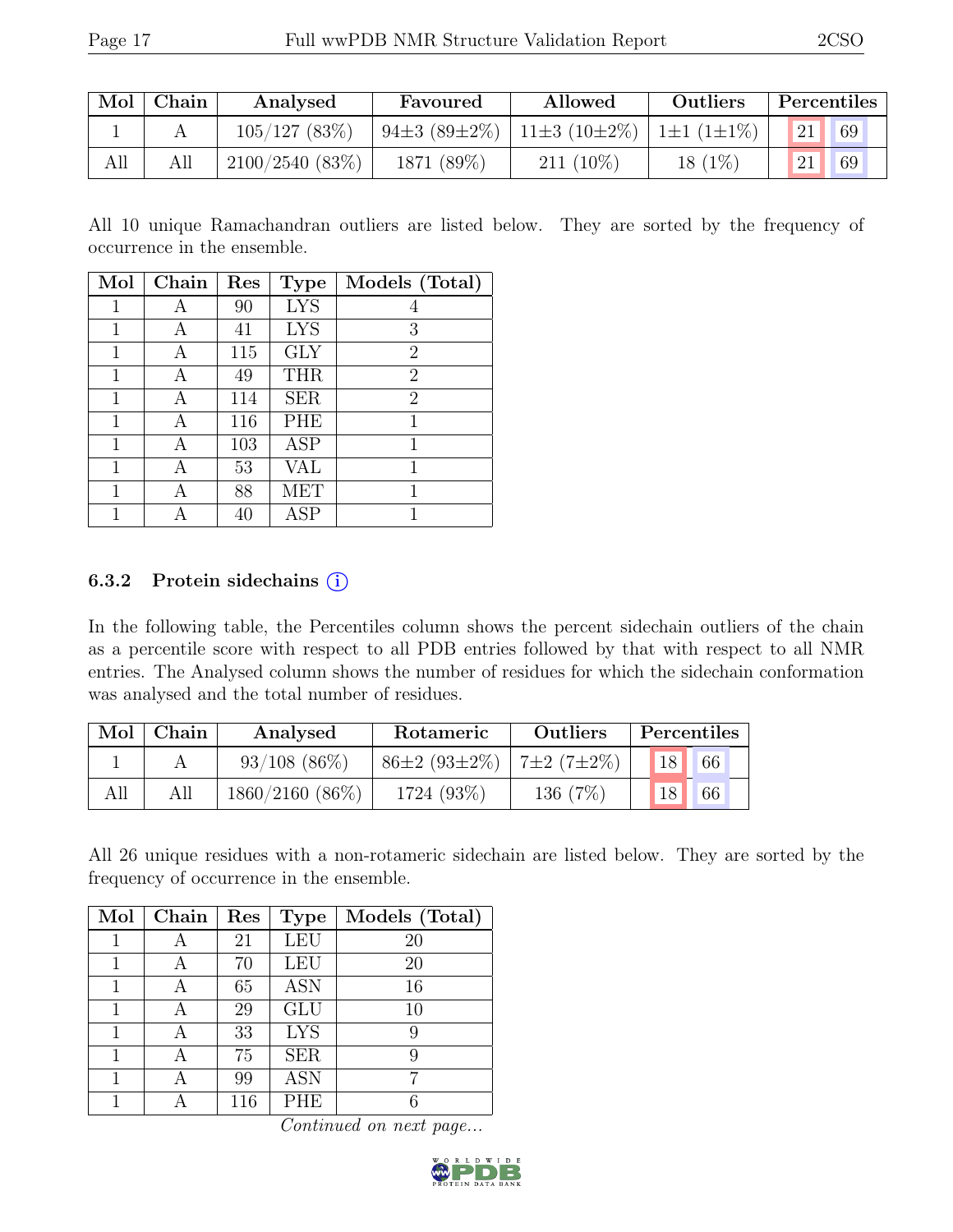|     | $Mol$ Chain | Analysed       | Favoured   | Allowed                                  | Outliers  | Percentiles |
|-----|-------------|----------------|------------|------------------------------------------|-----------|-------------|
|     |             | 105/127(83%)   |            | 94±3 (89±2%)   11±3 (10±2%)   1±1 (1±1%) |           | 69          |
| All | All         | 2100/2540(83%) | 1871 (89%) | $211(10\%)$                              | $18(1\%)$ | 69          |

All 10 unique Ramachandran outliers are listed below. They are sorted by the frequency of occurrence in the ensemble.

| Mol | Chain | Res | <b>Type</b> | Models (Total) |
|-----|-------|-----|-------------|----------------|
|     | А     | 90  | LYS         | 4              |
| 1   | А     | 41  | <b>LYS</b>  | 3              |
| 1   | А     | 115 | <b>GLY</b>  | $\overline{2}$ |
| 1   | А     | 49  | <b>THR</b>  | $\overline{2}$ |
| 1   | А     | 114 | <b>SER</b>  | $\overline{2}$ |
| 1   | А     | 116 | PHE         | 1              |
| 1   | А     | 103 | ASP         | 1              |
| 1   | А     | 53  | VAL         | 1              |
| 1   | А     | 88  | MET         | 1              |
|     |       | 40  | ASP         |                |

#### 6.3.2 Protein sidechains  $(i)$

In the following table, the Percentiles column shows the percent sidechain outliers of the chain as a percentile score with respect to all PDB entries followed by that with respect to all NMR entries. The Analysed column shows the number of residues for which the sidechain conformation was analysed and the total number of residues.

| Mol | Chain | Analysed          | Rotameric          | <b>Outliers</b> |    | Percentiles |
|-----|-------|-------------------|--------------------|-----------------|----|-------------|
|     |       | $93/108$ (86\%)   | $86\pm2(93\pm2\%)$ | $17+2(7+2%)$    | 18 | 66          |
|     | All   | $1860/2160(86\%)$ | 1724 (93%)         | 136 (7%)        |    | 66          |

All 26 unique residues with a non-rotameric sidechain are listed below. They are sorted by the frequency of occurrence in the ensemble.

| Mol | Chain | Res | <b>Type</b>      | Models (Total) |
|-----|-------|-----|------------------|----------------|
|     |       | 21  | <b>LEU</b>       | 20             |
|     |       | 70  | <b>LEU</b>       | 20             |
|     |       | 65  | $\overline{ASN}$ | 16             |
|     | А     | 29  | <b>GLU</b>       | 10             |
| 1   | А     | 33  | $LY\overline{S}$ | 9              |
|     |       | 75  | <b>SER</b>       | 9              |
|     |       | 99  | <b>ASN</b>       |                |
|     |       | 116 | <b>PHE</b>       |                |

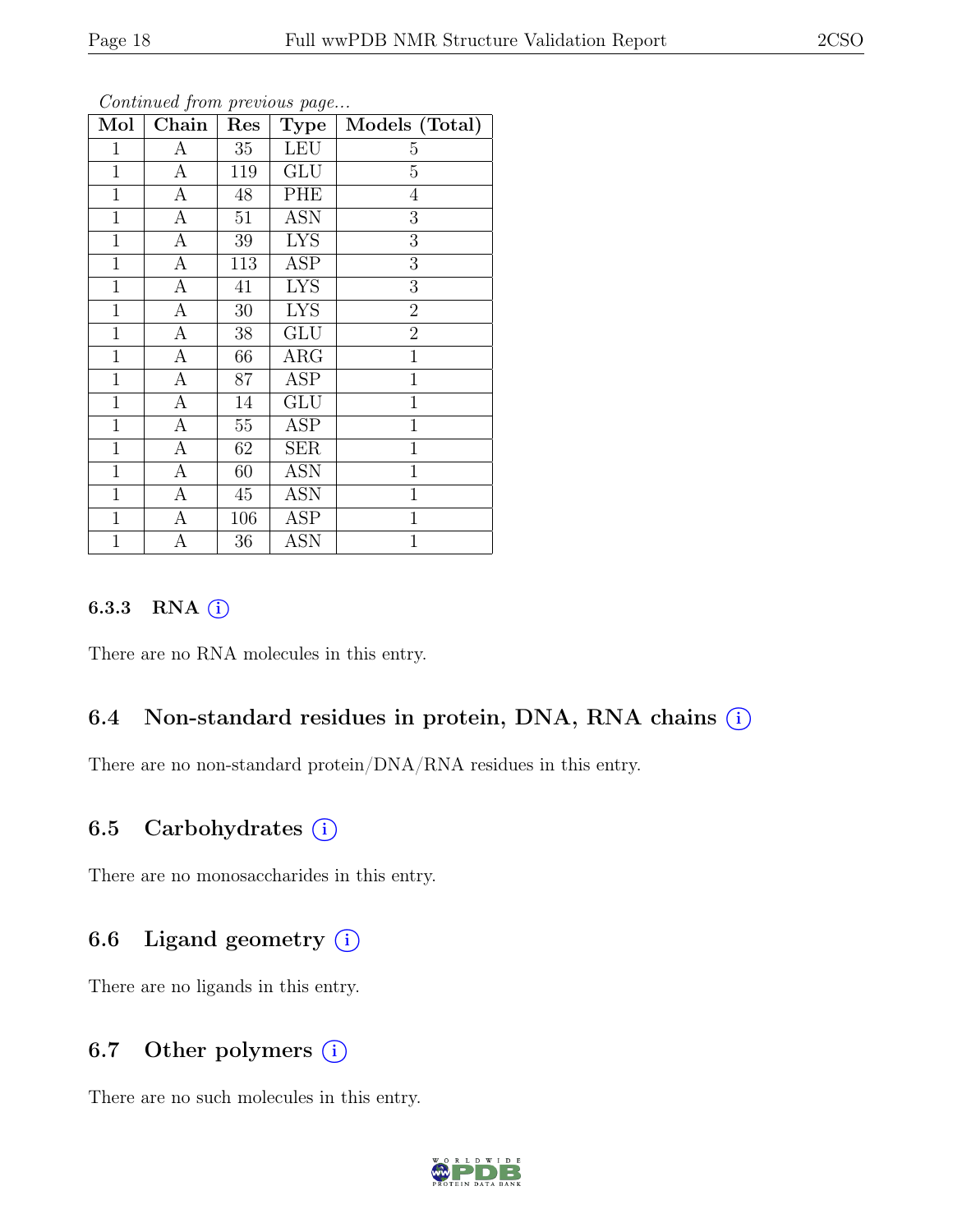| Mol            | Chain            | Res    | <b>Type</b>             | Models (Total) |
|----------------|------------------|--------|-------------------------|----------------|
| $\mathbf{1}$   | А                | 35     | LEU                     | 5              |
| $\mathbf 1$    | А                | 119    | <b>GLU</b>              | $\overline{5}$ |
| $\mathbf{1}$   | $\boldsymbol{A}$ | 48     | PHE                     | $\overline{4}$ |
| $\mathbf{1}$   | А                | 51     | ASN                     | 3              |
| $\mathbf{1}$   | А                | 39     | <b>LYS</b>              | 3              |
| $\mathbf{1}$   | А                | 113    | ASP                     | 3              |
| $\mathbf{1}$   | $\boldsymbol{A}$ | 41     | <b>LYS</b>              | 3              |
| $\mathbf{1}$   | $\overline{A}$   | $30\,$ | <b>LYS</b>              | $\overline{2}$ |
| $\mathbf{1}$   | $\overline{A}$   | 38     | <b>GLU</b>              | $\overline{2}$ |
| $\overline{1}$ | $\overline{A}$   | 66     | $\overline{\text{ARG}}$ | $\overline{1}$ |
| $\mathbf{1}$   | $\mathbf{A}$     | 87     | <b>ASP</b>              | $\mathbf{1}$   |
| $\mathbf 1$    | А                | 14     | GLU                     | $\mathbf{1}$   |
| $\mathbf 1$    | А                | $55\,$ | <b>ASP</b>              | $\mathbf{1}$   |
| $\mathbf 1$    | А                | 62     | <b>SER</b>              | $\mathbf 1$    |
| $\mathbf 1$    | $\boldsymbol{A}$ | 60     | <b>ASN</b>              | $\mathbf{1}$   |
| $\mathbf 1$    | $\boldsymbol{A}$ | 45     | <b>ASN</b>              | $\mathbf{1}$   |
| $\mathbf 1$    | А                | 106    | ASP                     | $\mathbf{1}$   |
| $\mathbf{1}$   | А                | 36     | <b>ASN</b>              | $\mathbf{1}$   |

#### 6.3.3 RNA  $(i)$

There are no RNA molecules in this entry.

#### 6.4 Non-standard residues in protein, DNA, RNA chains (i)

There are no non-standard protein/DNA/RNA residues in this entry.

#### 6.5 Carbohydrates  $(i)$

There are no monosaccharides in this entry.

## 6.6 Ligand geometry  $(i)$

There are no ligands in this entry.

#### 6.7 Other polymers  $(i)$

There are no such molecules in this entry.

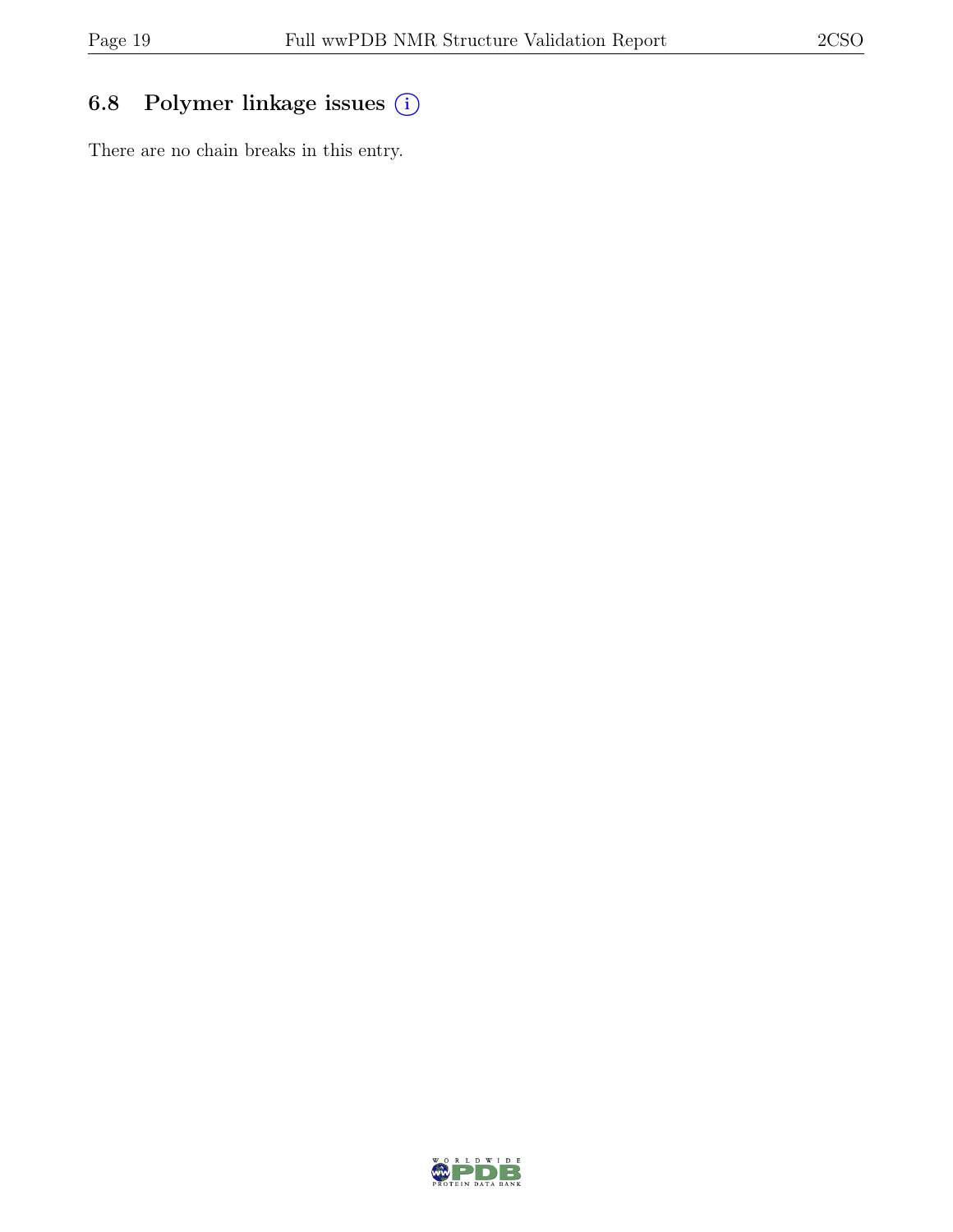## 6.8 Polymer linkage issues (i)

There are no chain breaks in this entry.